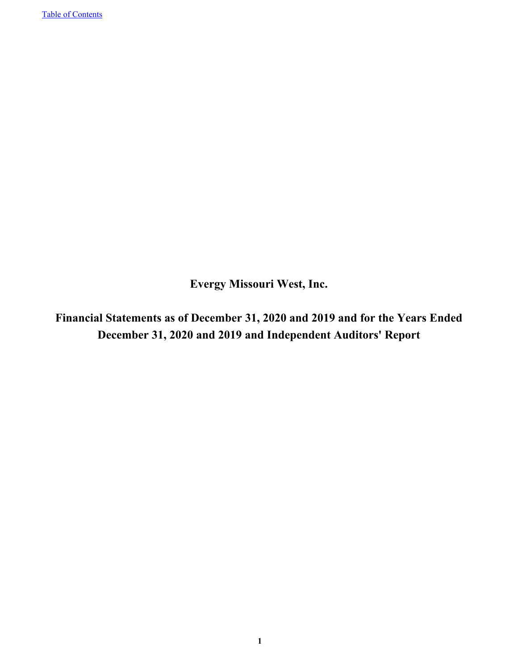**Evergy Missouri West, Inc.**

**Financial Statements as of December 31, 2020 and 2019 and for the Years Ended December 31, 2020 and 2019 and Independent Auditors' Report**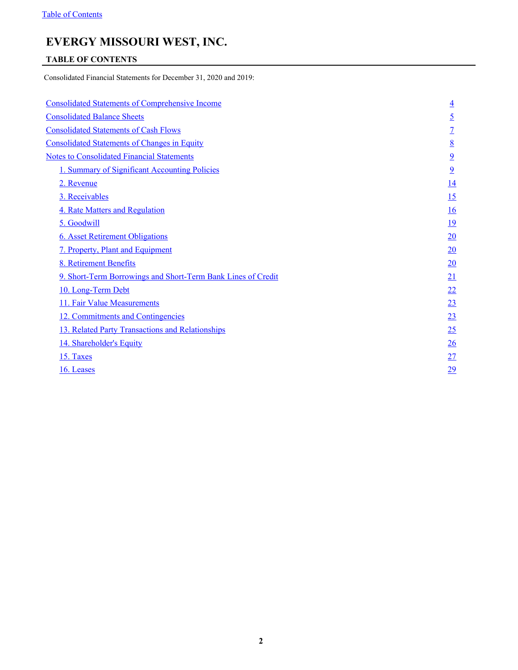# <span id="page-1-0"></span>**EVERGY MISSOURI WEST, INC.**

# **TABLE OF CONTENTS**

Consolidated Financial Statements for December 31, 2020 and 2019:

| <b>Consolidated Statements of Comprehensive Income</b>       | $\overline{4}$   |
|--------------------------------------------------------------|------------------|
| <b>Consolidated Balance Sheets</b>                           | $\overline{2}$   |
| <b>Consolidated Statements of Cash Flows</b>                 | $\overline{1}$   |
| <b>Consolidated Statements of Changes in Equity</b>          | $\underline{8}$  |
| <b>Notes to Consolidated Financial Statements</b>            | $\overline{9}$   |
| 1. Summary of Significant Accounting Policies                | $\overline{9}$   |
| 2. Revenue                                                   | $\underline{14}$ |
| 3. Receivables                                               | 15               |
| 4. Rate Matters and Regulation                               | 16               |
| 5. Goodwill                                                  | 19               |
| <b>6. Asset Retirement Obligations</b>                       | 20               |
| 7. Property, Plant and Equipment                             | 20               |
| 8. Retirement Benefits                                       | 20               |
| 9. Short-Term Borrowings and Short-Term Bank Lines of Credit | 21               |
| 10. Long-Term Debt                                           | 22               |
| 11. Fair Value Measurements                                  | 23               |
| 12. Commitments and Contingencies                            | 23               |
| 13. Related Party Transactions and Relationships             | 25               |
| 14. Shareholder's Equity                                     | $\frac{26}{5}$   |
| 15. Taxes                                                    | 27               |
| 16. Leases                                                   | 29               |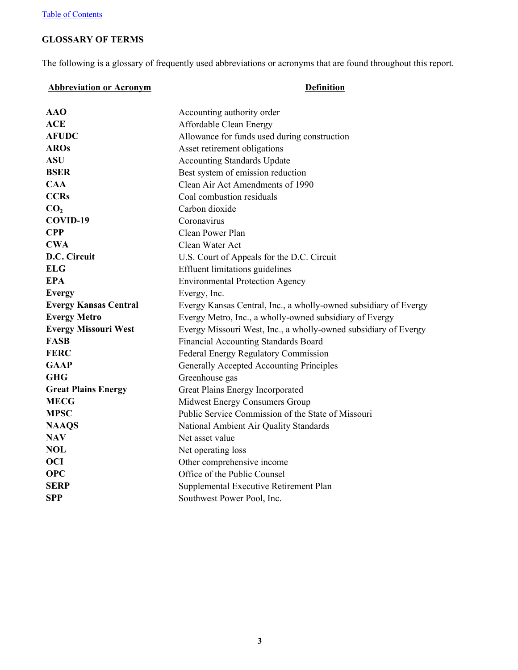# **GLOSSARY OF TERMS**

The following is a glossary of frequently used abbreviations or acronyms that are found throughout this report.

# **Abbreviation or Acronym Definition**

| <b>AAO</b>                   | Accounting authority order                                       |
|------------------------------|------------------------------------------------------------------|
| <b>ACE</b>                   | Affordable Clean Energy                                          |
| <b>AFUDC</b>                 | Allowance for funds used during construction                     |
| <b>AROs</b>                  | Asset retirement obligations                                     |
| <b>ASU</b>                   | <b>Accounting Standards Update</b>                               |
| <b>BSER</b>                  | Best system of emission reduction                                |
| <b>CAA</b>                   | Clean Air Act Amendments of 1990                                 |
| <b>CCRs</b>                  | Coal combustion residuals                                        |
| CO <sub>2</sub>              | Carbon dioxide                                                   |
| COVID-19                     | Coronavirus                                                      |
| <b>CPP</b>                   | Clean Power Plan                                                 |
| <b>CWA</b>                   | Clean Water Act                                                  |
| D.C. Circuit                 | U.S. Court of Appeals for the D.C. Circuit                       |
| <b>ELG</b>                   | Effluent limitations guidelines                                  |
| <b>EPA</b>                   | <b>Environmental Protection Agency</b>                           |
| <b>Evergy</b>                | Evergy, Inc.                                                     |
| <b>Evergy Kansas Central</b> | Evergy Kansas Central, Inc., a wholly-owned subsidiary of Evergy |
| <b>Evergy Metro</b>          | Evergy Metro, Inc., a wholly-owned subsidiary of Evergy          |
| <b>Evergy Missouri West</b>  | Evergy Missouri West, Inc., a wholly-owned subsidiary of Evergy  |
| <b>FASB</b>                  | Financial Accounting Standards Board                             |
| <b>FERC</b>                  | Federal Energy Regulatory Commission                             |
| <b>GAAP</b>                  | Generally Accepted Accounting Principles                         |
| <b>GHG</b>                   | Greenhouse gas                                                   |
| <b>Great Plains Energy</b>   | Great Plains Energy Incorporated                                 |
| <b>MECG</b>                  | Midwest Energy Consumers Group                                   |
| <b>MPSC</b>                  | Public Service Commission of the State of Missouri               |
| <b>NAAQS</b>                 | National Ambient Air Quality Standards                           |
| <b>NAV</b>                   | Net asset value                                                  |
| <b>NOL</b>                   | Net operating loss                                               |
| <b>OCI</b>                   | Other comprehensive income                                       |
| <b>OPC</b>                   | Office of the Public Counsel                                     |
| <b>SERP</b>                  | Supplemental Executive Retirement Plan                           |
| <b>SPP</b>                   | Southwest Power Pool, Inc.                                       |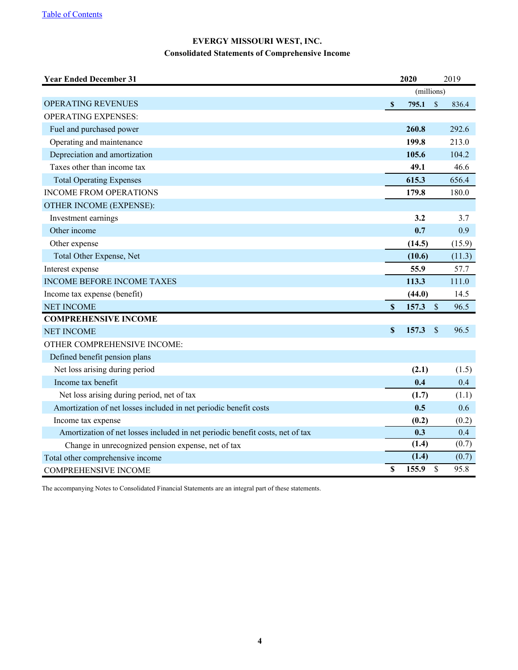# **EVERGY MISSOURI WEST, INC. Consolidated Statements of Comprehensive Income**

<span id="page-3-0"></span>

| <b>Year Ended December 31</b>                                                 |              | 2020   |               | 2019   |  |
|-------------------------------------------------------------------------------|--------------|--------|---------------|--------|--|
|                                                                               |              |        | (millions)    |        |  |
| <b>OPERATING REVENUES</b>                                                     | \$           | 795.1  | $\mathcal{S}$ | 836.4  |  |
| <b>OPERATING EXPENSES:</b>                                                    |              |        |               |        |  |
| Fuel and purchased power                                                      |              | 260.8  |               | 292.6  |  |
| Operating and maintenance                                                     |              | 199.8  |               | 213.0  |  |
| Depreciation and amortization                                                 |              | 105.6  |               | 104.2  |  |
| Taxes other than income tax                                                   |              | 49.1   |               | 46.6   |  |
| <b>Total Operating Expenses</b>                                               |              | 615.3  |               | 656.4  |  |
| <b>INCOME FROM OPERATIONS</b>                                                 |              | 179.8  |               | 180.0  |  |
| OTHER INCOME (EXPENSE):                                                       |              |        |               |        |  |
| Investment earnings                                                           |              | 3.2    |               | 3.7    |  |
| Other income                                                                  |              | 0.7    |               | 0.9    |  |
| Other expense                                                                 |              | (14.5) |               | (15.9) |  |
| Total Other Expense, Net                                                      |              | (10.6) |               | (11.3) |  |
| Interest expense                                                              |              | 55.9   |               | 57.7   |  |
| <b>INCOME BEFORE INCOME TAXES</b>                                             |              | 113.3  |               | 111.0  |  |
| Income tax expense (benefit)                                                  |              | (44.0) |               | 14.5   |  |
| <b>NET INCOME</b>                                                             | $\mathbf{s}$ | 157.3  | $\mathsf{\$}$ | 96.5   |  |
| <b>COMPREHENSIVE INCOME</b>                                                   |              |        |               |        |  |
| <b>NET INCOME</b>                                                             | \$           | 157.3  | $\mathcal{S}$ | 96.5   |  |
| OTHER COMPREHENSIVE INCOME:                                                   |              |        |               |        |  |
| Defined benefit pension plans                                                 |              |        |               |        |  |
| Net loss arising during period                                                |              | (2.1)  |               | (1.5)  |  |
| Income tax benefit                                                            |              | 0.4    |               | 0.4    |  |
| Net loss arising during period, net of tax                                    |              | (1.7)  |               | (1.1)  |  |
| Amortization of net losses included in net periodic benefit costs             |              | 0.5    |               | 0.6    |  |
| Income tax expense                                                            |              | (0.2)  |               | (0.2)  |  |
| Amortization of net losses included in net periodic benefit costs, net of tax |              | 0.3    |               | 0.4    |  |
| Change in unrecognized pension expense, net of tax                            |              | (1.4)  |               | (0.7)  |  |
| Total other comprehensive income                                              |              | (1.4)  |               | (0.7)  |  |
| <b>COMPREHENSIVE INCOME</b>                                                   | \$           | 155.9  | \$            | 95.8   |  |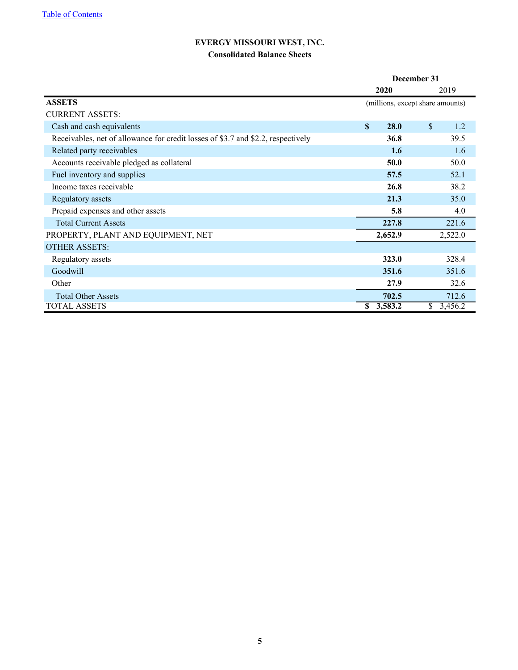# **EVERGY MISSOURI WEST, INC. Consolidated Balance Sheets**

<span id="page-4-0"></span>

|                                                                                  | December 31 |                                  |              |           |
|----------------------------------------------------------------------------------|-------------|----------------------------------|--------------|-----------|
|                                                                                  |             | <b>2020</b>                      |              | 2019      |
| <b>ASSETS</b>                                                                    |             | (millions, except share amounts) |              |           |
| <b>CURRENT ASSETS:</b>                                                           |             |                                  |              |           |
| Cash and cash equivalents                                                        | S           | 28.0                             | $\mathbb{S}$ | 1.2       |
| Receivables, net of allowance for credit losses of \$3.7 and \$2.2, respectively |             | 36.8                             |              | 39.5      |
| Related party receivables                                                        |             | 1.6                              |              | 1.6       |
| Accounts receivable pledged as collateral                                        |             | 50.0                             |              | 50.0      |
| Fuel inventory and supplies                                                      |             | 57.5                             |              | 52.1      |
| Income taxes receivable                                                          |             | 26.8                             |              | 38.2      |
| Regulatory assets                                                                |             | 21.3                             |              | 35.0      |
| Prepaid expenses and other assets                                                |             | 5.8                              |              | 4.0       |
| <b>Total Current Assets</b>                                                      |             | 227.8                            |              | 221.6     |
| PROPERTY, PLANT AND EQUIPMENT, NET                                               |             | 2,652.9                          |              | 2,522.0   |
| <b>OTHER ASSETS:</b>                                                             |             |                                  |              |           |
| Regulatory assets                                                                |             | 323.0                            |              | 328.4     |
| Goodwill                                                                         |             | 351.6                            |              | 351.6     |
| Other                                                                            |             | 27.9                             |              | 32.6      |
| <b>Total Other Assets</b>                                                        |             | 702.5                            |              | 712.6     |
| <b>TOTAL ASSETS</b>                                                              |             | \$3,583.2                        |              | \$3,456.2 |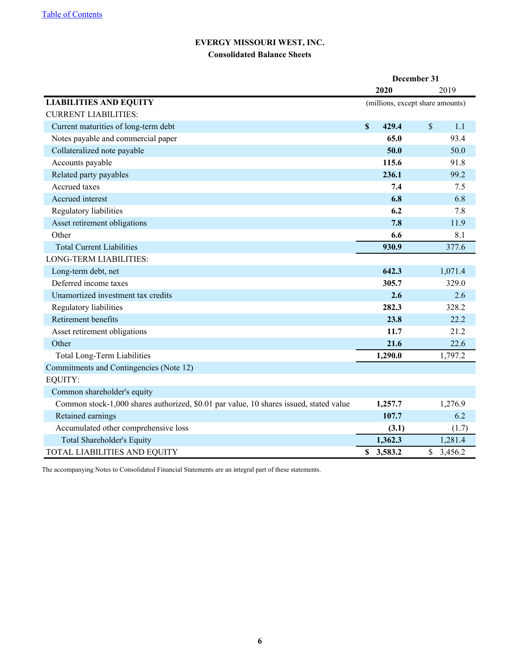# **EVERGY MISSOURI WEST, INC. Consolidated Balance Sheets**

|                                                                                        | December 31 |                                  |    |         |
|----------------------------------------------------------------------------------------|-------------|----------------------------------|----|---------|
|                                                                                        |             | 2020                             |    | 2019    |
| <b>LIABILITIES AND EQUITY</b>                                                          |             | (millions, except share amounts) |    |         |
| <b>CURRENT LIABILITIES:</b>                                                            |             |                                  |    |         |
| Current maturities of long-term debt                                                   | $\mathbf S$ | 429.4                            | \$ | 1.1     |
| Notes payable and commercial paper                                                     |             | 65.0                             |    | 93.4    |
| Collateralized note payable                                                            |             | 50.0                             |    | 50.0    |
| Accounts payable                                                                       |             | 115.6                            |    | 91.8    |
| Related party payables                                                                 |             | 236.1                            |    | 99.2    |
| <b>Accrued</b> taxes                                                                   |             | 7.4                              |    | 7.5     |
| <b>Accrued</b> interest                                                                |             | 6.8                              |    | 6.8     |
| Regulatory liabilities                                                                 |             | 6.2                              |    | 7.8     |
| Asset retirement obligations                                                           |             | 7.8                              |    | 11.9    |
| Other                                                                                  |             | 6.6                              |    | 8.1     |
| <b>Total Current Liabilities</b>                                                       |             | 930.9                            |    | 377.6   |
| <b>LONG-TERM LIABILITIES:</b>                                                          |             |                                  |    |         |
| Long-term debt, net                                                                    |             | 642.3                            |    | 1,071.4 |
| Deferred income taxes                                                                  |             | 305.7                            |    | 329.0   |
| Unamortized investment tax credits                                                     |             | 2.6                              |    | 2.6     |
| Regulatory liabilities                                                                 |             | 282.3                            |    | 328.2   |
| Retirement benefits                                                                    |             | 23.8                             |    | 22.2    |
| Asset retirement obligations                                                           |             | 11.7                             |    | 21.2    |
| Other                                                                                  |             | 21.6                             |    | 22.6    |
| <b>Total Long-Term Liabilities</b>                                                     |             | 1,290.0                          |    | 1,797.2 |
| Commitments and Contingencies (Note 12)                                                |             |                                  |    |         |
| EQUITY:                                                                                |             |                                  |    |         |
| Common shareholder's equity                                                            |             |                                  |    |         |
| Common stock-1,000 shares authorized, \$0.01 par value, 10 shares issued, stated value |             | 1,257.7                          |    | 1,276.9 |
| Retained earnings                                                                      |             | 107.7                            |    | 6.2     |
| Accumulated other comprehensive loss                                                   |             | (3.1)                            |    | (1.7)   |
| <b>Total Shareholder's Equity</b>                                                      |             | 1,362.3                          |    | 1,281.4 |
| TOTAL LIABILITIES AND EQUITY                                                           | $\mathbf S$ | 3,583.2                          | \$ | 3,456.2 |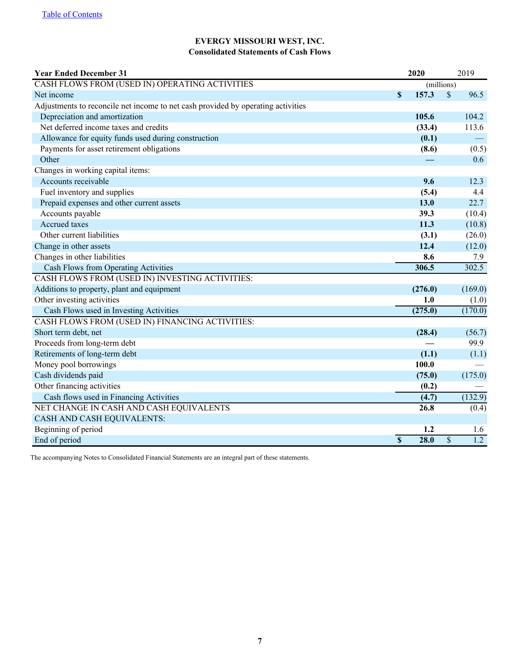#### **EVERGY MISSOURI WEST, INC. Consolidated Statements of Cash Flows**

<span id="page-6-0"></span>

| 2020<br><b>Year Ended December 31</b>                                            |                         |         | 2019                     |                  |
|----------------------------------------------------------------------------------|-------------------------|---------|--------------------------|------------------|
| CASH FLOWS FROM (USED IN) OPERATING ACTIVITIES                                   | (millions)              |         |                          |                  |
| Net income                                                                       | \$                      | 157.3   | $\mathcal{S}$            | 96.5             |
| Adjustments to reconcile net income to net cash provided by operating activities |                         |         |                          |                  |
| Depreciation and amortization                                                    |                         | 105.6   |                          | 104.2            |
| Net deferred income taxes and credits                                            |                         | (33.4)  |                          | 113.6            |
| Allowance for equity funds used during construction                              |                         | (0.1)   |                          |                  |
| Payments for asset retirement obligations                                        |                         | (8.6)   |                          | (0.5)            |
| Other                                                                            |                         |         |                          | 0.6              |
| Changes in working capital items:                                                |                         |         |                          |                  |
| Accounts receivable                                                              |                         | 9.6     |                          | 12.3             |
| Fuel inventory and supplies                                                      |                         | (5.4)   |                          | 4.4              |
| Prepaid expenses and other current assets                                        |                         | 13.0    |                          | 22.7             |
| Accounts payable                                                                 |                         | 39.3    |                          | (10.4)           |
| <b>Accrued</b> taxes                                                             |                         | 11.3    |                          | (10.8)           |
| Other current liabilities                                                        |                         | (3.1)   |                          | (26.0)           |
| Change in other assets                                                           |                         | 12.4    |                          | (12.0)           |
| Changes in other liabilities                                                     |                         | 8.6     |                          | 7.9              |
| Cash Flows from Operating Activities                                             |                         | 306.5   |                          | 302.5            |
| CASH FLOWS FROM (USED IN) INVESTING ACTIVITIES:                                  |                         |         |                          |                  |
| Additions to property, plant and equipment                                       |                         | (276.0) |                          | (169.0)          |
| Other investing activities                                                       |                         | 1.0     |                          | (1.0)            |
| Cash Flows used in Investing Activities                                          |                         | (275.0) |                          | (170.0)          |
| CASH FLOWS FROM (USED IN) FINANCING ACTIVITIES:                                  |                         |         |                          |                  |
| Short term debt, net                                                             |                         | (28.4)  |                          | (56.7)           |
| Proceeds from long-term debt                                                     |                         |         |                          | 99.9             |
| Retirements of long-term debt                                                    |                         | (1.1)   |                          | (1.1)            |
| Money pool borrowings                                                            |                         | 100.0   |                          |                  |
| Cash dividends paid                                                              |                         | (75.0)  |                          | (175.0)          |
| Other financing activities                                                       |                         | (0.2)   |                          |                  |
| Cash flows used in Financing Activities                                          |                         | (4.7)   |                          | (132.9)          |
| NET CHANGE IN CASH AND CASH EQUIVALENTS                                          |                         | 26.8    |                          | (0.4)            |
| CASH AND CASH EQUIVALENTS:                                                       |                         |         |                          |                  |
| Beginning of period                                                              |                         | 1.2     |                          | 1.6              |
| End of period                                                                    | $\overline{\mathbb{S}}$ | 28.0    | $\overline{\mathcal{S}}$ | $\overline{1.2}$ |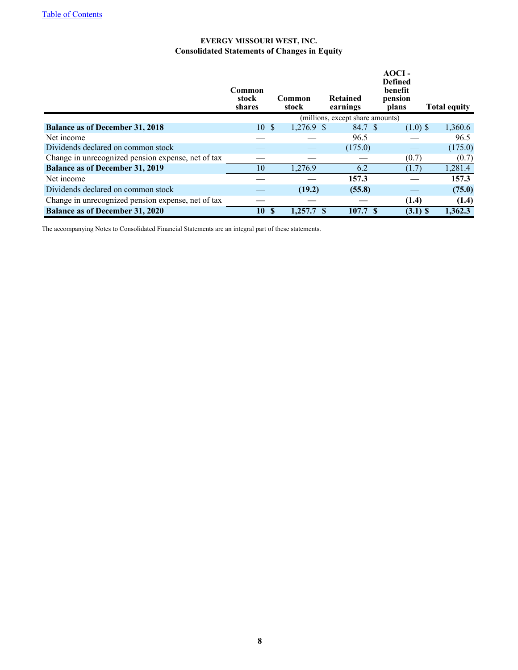# **EVERGY MISSOURI WEST, INC. Consolidated Statements of Changes in Equity**

<span id="page-7-0"></span>

|                                                    | Common<br>stock<br>shares | Common<br>stock   | Retained<br>earnings             | AOCI-<br><b>Defined</b><br>benefit<br>pension<br>plans | <b>Total equity</b> |
|----------------------------------------------------|---------------------------|-------------------|----------------------------------|--------------------------------------------------------|---------------------|
|                                                    |                           |                   | (millions, except share amounts) |                                                        |                     |
| <b>Balance as of December 31, 2018</b>             | 10S                       | $1,276.9$ \$      | 84.7 \$                          | $(1.0)$ \$                                             | 1,360.6             |
| Net income                                         |                           |                   | 96.5                             |                                                        | 96.5                |
| Dividends declared on common stock                 |                           |                   | (175.0)                          |                                                        | (175.0)             |
| Change in unrecognized pension expense, net of tax |                           |                   |                                  | (0.7)                                                  | (0.7)               |
| <b>Balance as of December 31, 2019</b>             | 10                        | 1,276.9           | 6.2                              | (1.7)                                                  | 1,281.4             |
| Net income                                         |                           |                   | 157.3                            |                                                        | 157.3               |
| Dividends declared on common stock                 |                           | (19.2)            | (55.8)                           |                                                        | (75.0)              |
| Change in unrecognized pension expense, net of tax |                           |                   |                                  | (1.4)                                                  | (1.4)               |
| <b>Balance as of December 31, 2020</b>             | 10                        | - \$<br>1.257.7 S | 107.7 S                          | $(3.1)$ \$                                             | 1,362.3             |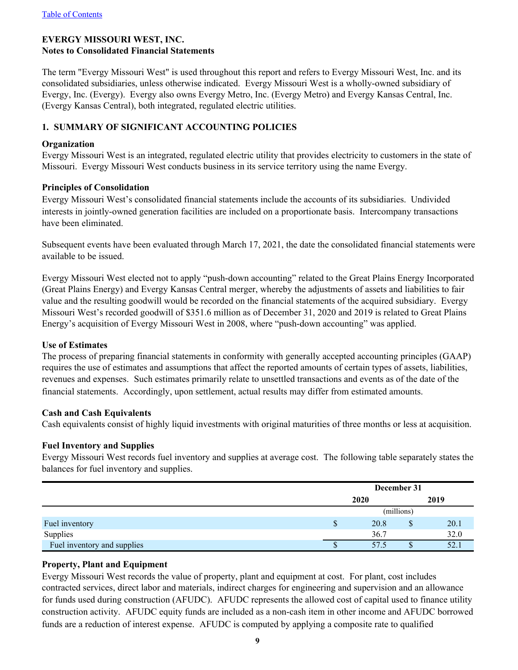# <span id="page-8-0"></span>**EVERGY MISSOURI WEST, INC. Notes to Consolidated Financial Statements**

The term "Evergy Missouri West" is used throughout this report and refers to Evergy Missouri West, Inc. and its consolidated subsidiaries, unless otherwise indicated. Evergy Missouri West is a wholly-owned subsidiary of Evergy, Inc. (Evergy). Evergy also owns Evergy Metro, Inc. (Evergy Metro) and Evergy Kansas Central, Inc. (Evergy Kansas Central), both integrated, regulated electric utilities.

# **1. SUMMARY OF SIGNIFICANT ACCOUNTING POLICIES**

## **Organization**

Evergy Missouri West is an integrated, regulated electric utility that provides electricity to customers in the state of Missouri. Evergy Missouri West conducts business in its service territory using the name Evergy.

#### **Principles of Consolidation**

Evergy Missouri West's consolidated financial statements include the accounts of its subsidiaries. Undivided interests in jointly-owned generation facilities are included on a proportionate basis. Intercompany transactions have been eliminated.

Subsequent events have been evaluated through March 17, 2021, the date the consolidated financial statements were available to be issued.

Evergy Missouri West elected not to apply "push-down accounting" related to the Great Plains Energy Incorporated (Great Plains Energy) and Evergy Kansas Central merger, whereby the adjustments of assets and liabilities to fair value and the resulting goodwill would be recorded on the financial statements of the acquired subsidiary. Evergy Missouri West's recorded goodwill of \$351.6 million as of December 31, 2020 and 2019 is related to Great Plains Energy's acquisition of Evergy Missouri West in 2008, where "push-down accounting" was applied.

#### **Use of Estimates**

The process of preparing financial statements in conformity with generally accepted accounting principles (GAAP) requires the use of estimates and assumptions that affect the reported amounts of certain types of assets, liabilities, revenues and expenses. Such estimates primarily relate to unsettled transactions and events as of the date of the financial statements. Accordingly, upon settlement, actual results may differ from estimated amounts.

#### **Cash and Cash Equivalents**

Cash equivalents consist of highly liquid investments with original maturities of three months or less at acquisition.

#### **Fuel Inventory and Supplies**

Evergy Missouri West records fuel inventory and supplies at average cost. The following table separately states the balances for fuel inventory and supplies.

|                             |    | December 31 |   |      |  |  |
|-----------------------------|----|-------------|---|------|--|--|
|                             |    | 2020        |   |      |  |  |
|                             |    | (millions)  |   |      |  |  |
| Fuel inventory              | \$ | 20.8        | S | 20.1 |  |  |
| Supplies                    |    | 36.7        |   | 32.0 |  |  |
| Fuel inventory and supplies | ۰D | 57.5        |   | 52.  |  |  |

# **Property, Plant and Equipment**

Evergy Missouri West records the value of property, plant and equipment at cost. For plant, cost includes contracted services, direct labor and materials, indirect charges for engineering and supervision and an allowance for funds used during construction (AFUDC). AFUDC represents the allowed cost of capital used to finance utility construction activity. AFUDC equity funds are included as a non-cash item in other income and AFUDC borrowed funds are a reduction of interest expense. AFUDC is computed by applying a composite rate to qualified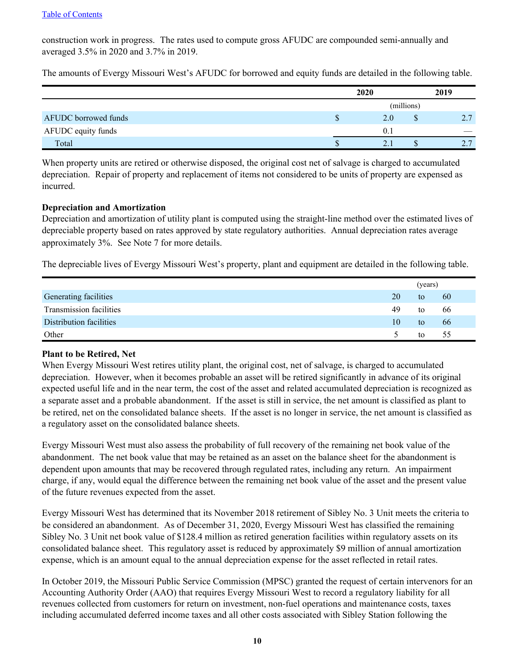#### [Table of Contents](#page-1-0)

construction work in progress. The rates used to compute gross AFUDC are compounded semi-annually and averaged 3.5% in 2020 and 3.7% in 2019.

The amounts of Evergy Missouri West's AFUDC for borrowed and equity funds are detailed in the following table.

|                      | 2020        |            | 2019            |
|----------------------|-------------|------------|-----------------|
|                      |             | (millions) |                 |
| AFUDC borrowed funds | 2.0         | ъ          | 27              |
| AFUDC equity funds   | $0_{\cdot}$ |            |                 |
| Total                | Z.          |            | $\gamma$ $\tau$ |

When property units are retired or otherwise disposed, the original cost net of salvage is charged to accumulated depreciation. Repair of property and replacement of items not considered to be units of property are expensed as incurred.

#### **Depreciation and Amortization**

Depreciation and amortization of utility plant is computed using the straight-line method over the estimated lives of depreciable property based on rates approved by state regulatory authorities. Annual depreciation rates average approximately 3%. See Note 7 for more details.

The depreciable lives of Evergy Missouri West's property, plant and equipment are detailed in the following table.

|                         |    | (years) |    |
|-------------------------|----|---------|----|
| Generating facilities   | 20 | to      | 60 |
| Transmission facilities | 49 | to      | 66 |
| Distribution facilities | 10 | to      | 66 |
| Other                   |    | to      | 55 |

# **Plant to be Retired, Net**

When Evergy Missouri West retires utility plant, the original cost, net of salvage, is charged to accumulated depreciation. However, when it becomes probable an asset will be retired significantly in advance of its original expected useful life and in the near term, the cost of the asset and related accumulated depreciation is recognized as a separate asset and a probable abandonment. If the asset is still in service, the net amount is classified as plant to be retired, net on the consolidated balance sheets. If the asset is no longer in service, the net amount is classified as a regulatory asset on the consolidated balance sheets.

Evergy Missouri West must also assess the probability of full recovery of the remaining net book value of the abandonment. The net book value that may be retained as an asset on the balance sheet for the abandonment is dependent upon amounts that may be recovered through regulated rates, including any return. An impairment charge, if any, would equal the difference between the remaining net book value of the asset and the present value of the future revenues expected from the asset.

Evergy Missouri West has determined that its November 2018 retirement of Sibley No. 3 Unit meets the criteria to be considered an abandonment. As of December 31, 2020, Evergy Missouri West has classified the remaining Sibley No. 3 Unit net book value of \$128.4 million as retired generation facilities within regulatory assets on its consolidated balance sheet. This regulatory asset is reduced by approximately \$9 million of annual amortization expense, which is an amount equal to the annual depreciation expense for the asset reflected in retail rates.

In October 2019, the Missouri Public Service Commission (MPSC) granted the request of certain intervenors for an Accounting Authority Order (AAO) that requires Evergy Missouri West to record a regulatory liability for all revenues collected from customers for return on investment, non-fuel operations and maintenance costs, taxes including accumulated deferred income taxes and all other costs associated with Sibley Station following the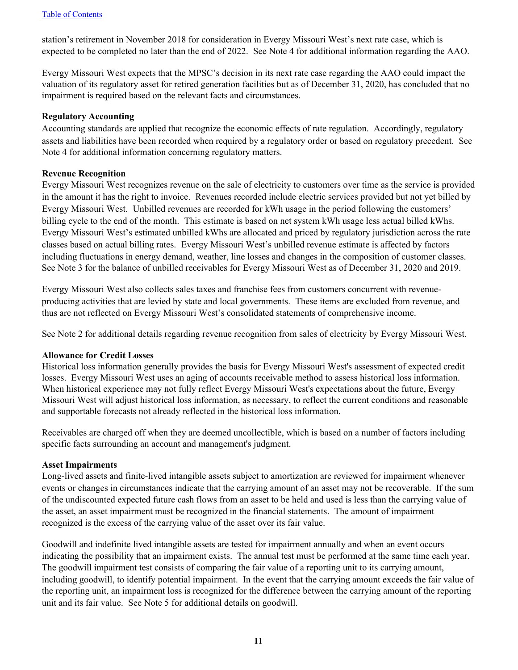station's retirement in November 2018 for consideration in Evergy Missouri West's next rate case, which is expected to be completed no later than the end of 2022. See Note 4 for additional information regarding the AAO.

Evergy Missouri West expects that the MPSC's decision in its next rate case regarding the AAO could impact the valuation of its regulatory asset for retired generation facilities but as of December 31, 2020, has concluded that no impairment is required based on the relevant facts and circumstances.

# **Regulatory Accounting**

Accounting standards are applied that recognize the economic effects of rate regulation. Accordingly, regulatory assets and liabilities have been recorded when required by a regulatory order or based on regulatory precedent. See Note 4 for additional information concerning regulatory matters.

# **Revenue Recognition**

Evergy Missouri West recognizes revenue on the sale of electricity to customers over time as the service is provided in the amount it has the right to invoice. Revenues recorded include electric services provided but not yet billed by Evergy Missouri West. Unbilled revenues are recorded for kWh usage in the period following the customers' billing cycle to the end of the month. This estimate is based on net system kWh usage less actual billed kWhs. Evergy Missouri West's estimated unbilled kWhs are allocated and priced by regulatory jurisdiction across the rate classes based on actual billing rates. Evergy Missouri West's unbilled revenue estimate is affected by factors including fluctuations in energy demand, weather, line losses and changes in the composition of customer classes. See Note 3 for the balance of unbilled receivables for Evergy Missouri West as of December 31, 2020 and 2019.

Evergy Missouri West also collects sales taxes and franchise fees from customers concurrent with revenueproducing activities that are levied by state and local governments. These items are excluded from revenue, and thus are not reflected on Evergy Missouri West's consolidated statements of comprehensive income.

See Note 2 for additional details regarding revenue recognition from sales of electricity by Evergy Missouri West.

# **Allowance for Credit Losses**

Historical loss information generally provides the basis for Evergy Missouri West's assessment of expected credit losses. Evergy Missouri West uses an aging of accounts receivable method to assess historical loss information. When historical experience may not fully reflect Evergy Missouri West's expectations about the future, Evergy Missouri West will adjust historical loss information, as necessary, to reflect the current conditions and reasonable and supportable forecasts not already reflected in the historical loss information.

Receivables are charged off when they are deemed uncollectible, which is based on a number of factors including specific facts surrounding an account and management's judgment.

#### **Asset Impairments**

Long-lived assets and finite-lived intangible assets subject to amortization are reviewed for impairment whenever events or changes in circumstances indicate that the carrying amount of an asset may not be recoverable. If the sum of the undiscounted expected future cash flows from an asset to be held and used is less than the carrying value of the asset, an asset impairment must be recognized in the financial statements. The amount of impairment recognized is the excess of the carrying value of the asset over its fair value.

Goodwill and indefinite lived intangible assets are tested for impairment annually and when an event occurs indicating the possibility that an impairment exists. The annual test must be performed at the same time each year. The goodwill impairment test consists of comparing the fair value of a reporting unit to its carrying amount, including goodwill, to identify potential impairment. In the event that the carrying amount exceeds the fair value of the reporting unit, an impairment loss is recognized for the difference between the carrying amount of the reporting unit and its fair value. See Note 5 for additional details on goodwill.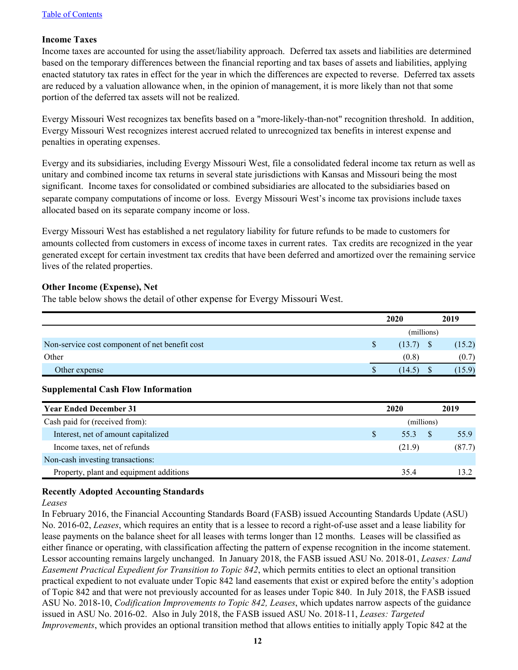#### [Table of Contents](#page-1-0)

## **Income Taxes**

Income taxes are accounted for using the asset/liability approach. Deferred tax assets and liabilities are determined based on the temporary differences between the financial reporting and tax bases of assets and liabilities, applying enacted statutory tax rates in effect for the year in which the differences are expected to reverse. Deferred tax assets are reduced by a valuation allowance when, in the opinion of management, it is more likely than not that some portion of the deferred tax assets will not be realized.

Evergy Missouri West recognizes tax benefits based on a "more-likely-than-not" recognition threshold. In addition, Evergy Missouri West recognizes interest accrued related to unrecognized tax benefits in interest expense and penalties in operating expenses.

Evergy and its subsidiaries, including Evergy Missouri West, file a consolidated federal income tax return as well as unitary and combined income tax returns in several state jurisdictions with Kansas and Missouri being the most significant. Income taxes for consolidated or combined subsidiaries are allocated to the subsidiaries based on separate company computations of income or loss. Evergy Missouri West's income tax provisions include taxes allocated based on its separate company income or loss.

Evergy Missouri West has established a net regulatory liability for future refunds to be made to customers for amounts collected from customers in excess of income taxes in current rates. Tax credits are recognized in the year generated except for certain investment tax credits that have been deferred and amortized over the remaining service lives of the related properties.

# **Other Income (Expense), Net**

The table below shows the detail of other expense for Evergy Missouri West.

|                                                | 2020       | 2019   |
|------------------------------------------------|------------|--------|
|                                                | (millions) |        |
| Non-service cost component of net benefit cost | (13.7)     | (15.2) |
| Other                                          | (0.8)      | (0.7)  |
| Other expense                                  | 14.5)      | (15.9) |

#### **Supplemental Cash Flow Information**

| <b>Year Ended December 31</b>           | 2020       | 2019   |
|-----------------------------------------|------------|--------|
| Cash paid for (received from):          | (millions) |        |
| Interest, net of amount capitalized     | 55.3       | 55.9   |
| Income taxes, net of refunds            | (21.9)     | (87.7) |
| Non-cash investing transactions:        |            |        |
| Property, plant and equipment additions | 35.4       | 13 2   |

# **Recently Adopted Accounting Standards**

*Leases*

In February 2016, the Financial Accounting Standards Board (FASB) issued Accounting Standards Update (ASU) No. 2016-02, *Leases*, which requires an entity that is a lessee to record a right-of-use asset and a lease liability for lease payments on the balance sheet for all leases with terms longer than 12 months. Leases will be classified as either finance or operating, with classification affecting the pattern of expense recognition in the income statement. Lessor accounting remains largely unchanged. In January 2018, the FASB issued ASU No. 2018-01, *Leases: Land Easement Practical Expedient for Transition to Topic 842*, which permits entities to elect an optional transition practical expedient to not evaluate under Topic 842 land easements that exist or expired before the entity's adoption of Topic 842 and that were not previously accounted for as leases under Topic 840. In July 2018, the FASB issued ASU No. 2018-10, *Codification Improvements to Topic 842, Leases*, which updates narrow aspects of the guidance issued in ASU No. 2016-02. Also in July 2018, the FASB issued ASU No. 2018-11, *Leases: Targeted Improvements*, which provides an optional transition method that allows entities to initially apply Topic 842 at the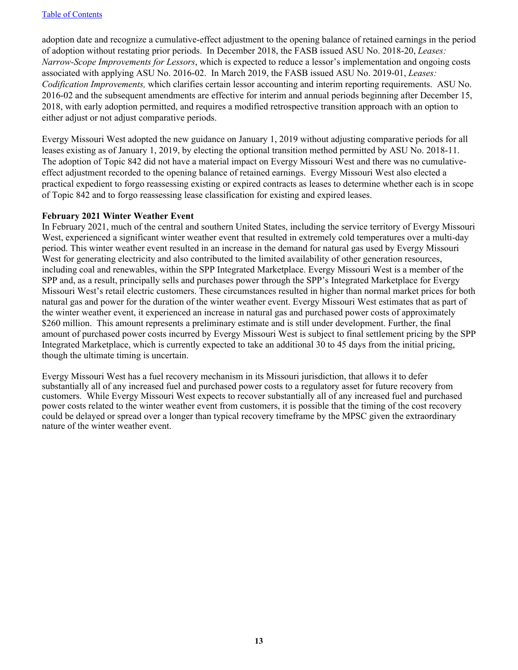adoption date and recognize a cumulative-effect adjustment to the opening balance of retained earnings in the period of adoption without restating prior periods. In December 2018, the FASB issued ASU No. 2018-20, *Leases: Narrow-Scope Improvements for Lessors*, which is expected to reduce a lessor's implementation and ongoing costs associated with applying ASU No. 2016-02. In March 2019, the FASB issued ASU No. 2019-01, *Leases: Codification Improvements,* which clarifies certain lessor accounting and interim reporting requirements. ASU No. 2016-02 and the subsequent amendments are effective for interim and annual periods beginning after December 15, 2018, with early adoption permitted, and requires a modified retrospective transition approach with an option to either adjust or not adjust comparative periods.

Evergy Missouri West adopted the new guidance on January 1, 2019 without adjusting comparative periods for all leases existing as of January 1, 2019, by electing the optional transition method permitted by ASU No. 2018-11. The adoption of Topic 842 did not have a material impact on Evergy Missouri West and there was no cumulativeeffect adjustment recorded to the opening balance of retained earnings. Evergy Missouri West also elected a practical expedient to forgo reassessing existing or expired contracts as leases to determine whether each is in scope of Topic 842 and to forgo reassessing lease classification for existing and expired leases.

# **February 2021 Winter Weather Event**

In February 2021, much of the central and southern United States, including the service territory of Evergy Missouri West, experienced a significant winter weather event that resulted in extremely cold temperatures over a multi-day period. This winter weather event resulted in an increase in the demand for natural gas used by Evergy Missouri West for generating electricity and also contributed to the limited availability of other generation resources, including coal and renewables, within the SPP Integrated Marketplace. Evergy Missouri West is a member of the SPP and, as a result, principally sells and purchases power through the SPP's Integrated Marketplace for Evergy Missouri West's retail electric customers. These circumstances resulted in higher than normal market prices for both natural gas and power for the duration of the winter weather event. Evergy Missouri West estimates that as part of the winter weather event, it experienced an increase in natural gas and purchased power costs of approximately \$260 million. This amount represents a preliminary estimate and is still under development. Further, the final amount of purchased power costs incurred by Evergy Missouri West is subject to final settlement pricing by the SPP Integrated Marketplace, which is currently expected to take an additional 30 to 45 days from the initial pricing, though the ultimate timing is uncertain.

Evergy Missouri West has a fuel recovery mechanism in its Missouri jurisdiction, that allows it to defer substantially all of any increased fuel and purchased power costs to a regulatory asset for future recovery from customers. While Evergy Missouri West expects to recover substantially all of any increased fuel and purchased power costs related to the winter weather event from customers, it is possible that the timing of the cost recovery could be delayed or spread over a longer than typical recovery timeframe by the MPSC given the extraordinary nature of the winter weather event.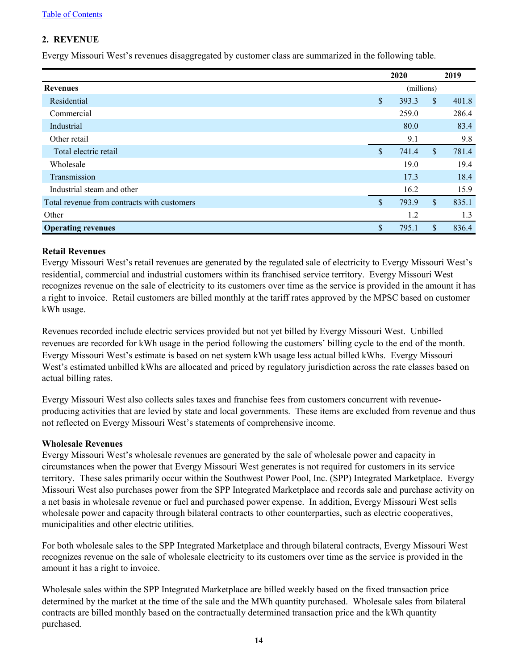# <span id="page-13-0"></span>**2. REVENUE**

Evergy Missouri West's revenues disaggregated by customer class are summarized in the following table.

|                                             |              | 2020       |              | 2019  |
|---------------------------------------------|--------------|------------|--------------|-------|
| <b>Revenues</b>                             |              | (millions) |              |       |
| Residential                                 | \$           | 393.3      | $\mathbb{S}$ | 401.8 |
| Commercial                                  |              | 259.0      |              | 286.4 |
| Industrial                                  |              | 80.0       |              | 83.4  |
| Other retail                                |              | 9.1        |              | 9.8   |
| Total electric retail                       | \$           | 741.4      | $\mathbb{S}$ | 781.4 |
| Wholesale                                   |              | 19.0       |              | 19.4  |
| Transmission                                |              | 17.3       |              | 18.4  |
| Industrial steam and other                  |              | 16.2       |              | 15.9  |
| Total revenue from contracts with customers | \$           | 793.9      | $\mathbb{S}$ | 835.1 |
| Other                                       |              | 1.2        |              | 1.3   |
| <b>Operating revenues</b>                   | $\mathbb{S}$ | 795.1      | \$           | 836.4 |

# **Retail Revenues**

Evergy Missouri West's retail revenues are generated by the regulated sale of electricity to Evergy Missouri West's residential, commercial and industrial customers within its franchised service territory. Evergy Missouri West recognizes revenue on the sale of electricity to its customers over time as the service is provided in the amount it has a right to invoice. Retail customers are billed monthly at the tariff rates approved by the MPSC based on customer kWh usage.

Revenues recorded include electric services provided but not yet billed by Evergy Missouri West. Unbilled revenues are recorded for kWh usage in the period following the customers' billing cycle to the end of the month. Evergy Missouri West's estimate is based on net system kWh usage less actual billed kWhs. Evergy Missouri West's estimated unbilled kWhs are allocated and priced by regulatory jurisdiction across the rate classes based on actual billing rates.

Evergy Missouri West also collects sales taxes and franchise fees from customers concurrent with revenueproducing activities that are levied by state and local governments. These items are excluded from revenue and thus not reflected on Evergy Missouri West's statements of comprehensive income.

#### **Wholesale Revenues**

Evergy Missouri West's wholesale revenues are generated by the sale of wholesale power and capacity in circumstances when the power that Evergy Missouri West generates is not required for customers in its service territory. These sales primarily occur within the Southwest Power Pool, Inc. (SPP) Integrated Marketplace. Evergy Missouri West also purchases power from the SPP Integrated Marketplace and records sale and purchase activity on a net basis in wholesale revenue or fuel and purchased power expense. In addition, Evergy Missouri West sells wholesale power and capacity through bilateral contracts to other counterparties, such as electric cooperatives, municipalities and other electric utilities.

For both wholesale sales to the SPP Integrated Marketplace and through bilateral contracts, Evergy Missouri West recognizes revenue on the sale of wholesale electricity to its customers over time as the service is provided in the amount it has a right to invoice.

Wholesale sales within the SPP Integrated Marketplace are billed weekly based on the fixed transaction price determined by the market at the time of the sale and the MWh quantity purchased. Wholesale sales from bilateral contracts are billed monthly based on the contractually determined transaction price and the kWh quantity purchased.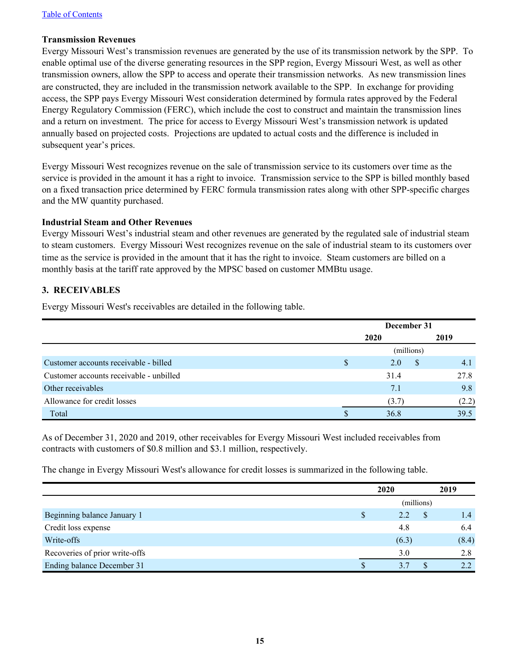#### <span id="page-14-0"></span>[Table of Contents](#page-1-0)

## **Transmission Revenues**

Evergy Missouri West's transmission revenues are generated by the use of its transmission network by the SPP. To enable optimal use of the diverse generating resources in the SPP region, Evergy Missouri West, as well as other transmission owners, allow the SPP to access and operate their transmission networks. As new transmission lines are constructed, they are included in the transmission network available to the SPP. In exchange for providing access, the SPP pays Evergy Missouri West consideration determined by formula rates approved by the Federal Energy Regulatory Commission (FERC), which include the cost to construct and maintain the transmission lines and a return on investment. The price for access to Evergy Missouri West's transmission network is updated annually based on projected costs. Projections are updated to actual costs and the difference is included in subsequent year's prices.

Evergy Missouri West recognizes revenue on the sale of transmission service to its customers over time as the service is provided in the amount it has a right to invoice. Transmission service to the SPP is billed monthly based on a fixed transaction price determined by FERC formula transmission rates along with other SPP-specific charges and the MW quantity purchased.

#### **Industrial Steam and Other Revenues**

Evergy Missouri West's industrial steam and other revenues are generated by the regulated sale of industrial steam to steam customers. Evergy Missouri West recognizes revenue on the sale of industrial steam to its customers over time as the service is provided in the amount that it has the right to invoice. Steam customers are billed on a monthly basis at the tariff rate approved by the MPSC based on customer MMBtu usage.

# **3. RECEIVABLES**

Evergy Missouri West's receivables are detailed in the following table.

|                                         |   | December 31 |   |                    |
|-----------------------------------------|---|-------------|---|--------------------|
|                                         |   | 2020        |   | 2019               |
|                                         |   | (millions)  |   |                    |
| Customer accounts receivable - billed   | S | 2.0         | S | $\left(4, \right)$ |
| Customer accounts receivable - unbilled |   | 31.4        |   | 27.8               |
| Other receivables                       |   | 7.1         |   | 9.8                |
| Allowance for credit losses             |   | (3.7)       |   | (2.2)              |
| Total                                   |   | 36.8        |   | 39.5               |

As of December 31, 2020 and 2019, other receivables for Evergy Missouri West included receivables from contracts with customers of \$0.8 million and \$3.1 million, respectively.

The change in Evergy Missouri West's allowance for credit losses is summarized in the following table.

|                                |               | 2020       | 2019  |
|--------------------------------|---------------|------------|-------|
|                                |               | (millions) |       |
| Beginning balance January 1    | <sup>\$</sup> | S<br>2.2   | 1.4   |
| Credit loss expense            |               | 4.8        | 6.4   |
| Write-offs                     |               | (6.3)      | (8.4) |
| Recoveries of prior write-offs |               | 3.0        | 2.8   |
| Ending balance December 31     |               | 3.7        |       |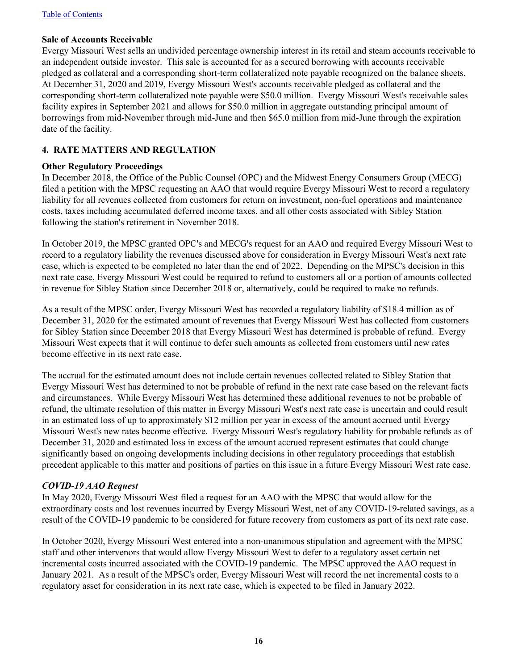# <span id="page-15-0"></span>**Sale of Accounts Receivable**

Evergy Missouri West sells an undivided percentage ownership interest in its retail and steam accounts receivable to an independent outside investor. This sale is accounted for as a secured borrowing with accounts receivable pledged as collateral and a corresponding short-term collateralized note payable recognized on the balance sheets. At December 31, 2020 and 2019, Evergy Missouri West's accounts receivable pledged as collateral and the corresponding short-term collateralized note payable were \$50.0 million. Evergy Missouri West's receivable sales facility expires in September 2021 and allows for \$50.0 million in aggregate outstanding principal amount of borrowings from mid-November through mid-June and then \$65.0 million from mid-June through the expiration date of the facility.

# **4. RATE MATTERS AND REGULATION**

# **Other Regulatory Proceedings**

In December 2018, the Office of the Public Counsel (OPC) and the Midwest Energy Consumers Group (MECG) filed a petition with the MPSC requesting an AAO that would require Evergy Missouri West to record a regulatory liability for all revenues collected from customers for return on investment, non-fuel operations and maintenance costs, taxes including accumulated deferred income taxes, and all other costs associated with Sibley Station following the station's retirement in November 2018.

In October 2019, the MPSC granted OPC's and MECG's request for an AAO and required Evergy Missouri West to record to a regulatory liability the revenues discussed above for consideration in Evergy Missouri West's next rate case, which is expected to be completed no later than the end of 2022. Depending on the MPSC's decision in this next rate case, Evergy Missouri West could be required to refund to customers all or a portion of amounts collected in revenue for Sibley Station since December 2018 or, alternatively, could be required to make no refunds.

As a result of the MPSC order, Evergy Missouri West has recorded a regulatory liability of \$18.4 million as of December 31, 2020 for the estimated amount of revenues that Evergy Missouri West has collected from customers for Sibley Station since December 2018 that Evergy Missouri West has determined is probable of refund. Evergy Missouri West expects that it will continue to defer such amounts as collected from customers until new rates become effective in its next rate case.

The accrual for the estimated amount does not include certain revenues collected related to Sibley Station that Evergy Missouri West has determined to not be probable of refund in the next rate case based on the relevant facts and circumstances. While Evergy Missouri West has determined these additional revenues to not be probable of refund, the ultimate resolution of this matter in Evergy Missouri West's next rate case is uncertain and could result in an estimated loss of up to approximately \$12 million per year in excess of the amount accrued until Evergy Missouri West's new rates become effective. Evergy Missouri West's regulatory liability for probable refunds as of December 31, 2020 and estimated loss in excess of the amount accrued represent estimates that could change significantly based on ongoing developments including decisions in other regulatory proceedings that establish precedent applicable to this matter and positions of parties on this issue in a future Evergy Missouri West rate case.

# *COVID-19 AAO Request*

In May 2020, Evergy Missouri West filed a request for an AAO with the MPSC that would allow for the extraordinary costs and lost revenues incurred by Evergy Missouri West, net of any COVID-19-related savings, as a result of the COVID-19 pandemic to be considered for future recovery from customers as part of its next rate case.

In October 2020, Evergy Missouri West entered into a non-unanimous stipulation and agreement with the MPSC staff and other intervenors that would allow Evergy Missouri West to defer to a regulatory asset certain net incremental costs incurred associated with the COVID-19 pandemic. The MPSC approved the AAO request in January 2021. As a result of the MPSC's order, Evergy Missouri West will record the net incremental costs to a regulatory asset for consideration in its next rate case, which is expected to be filed in January 2022.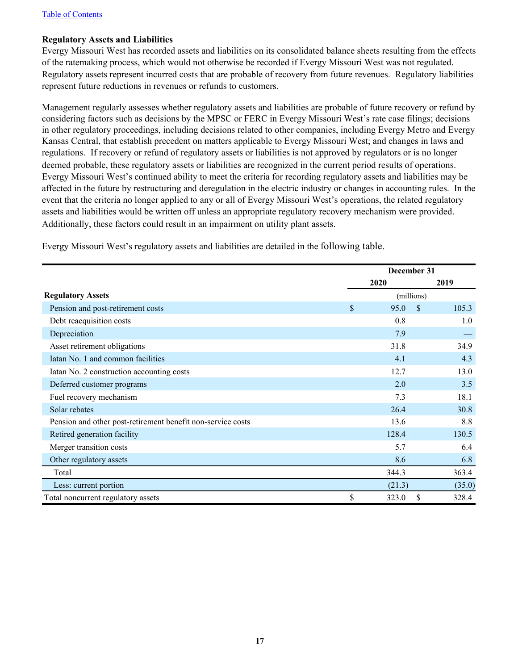#### [Table of Contents](#page-1-0)

## **Regulatory Assets and Liabilities**

Evergy Missouri West has recorded assets and liabilities on its consolidated balance sheets resulting from the effects of the ratemaking process, which would not otherwise be recorded if Evergy Missouri West was not regulated. Regulatory assets represent incurred costs that are probable of recovery from future revenues. Regulatory liabilities represent future reductions in revenues or refunds to customers.

Management regularly assesses whether regulatory assets and liabilities are probable of future recovery or refund by considering factors such as decisions by the MPSC or FERC in Evergy Missouri West's rate case filings; decisions in other regulatory proceedings, including decisions related to other companies, including Evergy Metro and Evergy Kansas Central, that establish precedent on matters applicable to Evergy Missouri West; and changes in laws and regulations. If recovery or refund of regulatory assets or liabilities is not approved by regulators or is no longer deemed probable, these regulatory assets or liabilities are recognized in the current period results of operations. Evergy Missouri West's continued ability to meet the criteria for recording regulatory assets and liabilities may be affected in the future by restructuring and deregulation in the electric industry or changes in accounting rules. In the event that the criteria no longer applied to any or all of Evergy Missouri West's operations, the related regulatory assets and liabilities would be written off unless an appropriate regulatory recovery mechanism were provided. Additionally, these factors could result in an impairment on utility plant assets.

Evergy Missouri West's regulatory assets and liabilities are detailed in the following table.

|                                                             | December 31 |    |        |  |  |
|-------------------------------------------------------------|-------------|----|--------|--|--|
|                                                             | 2020        |    | 2019   |  |  |
| <b>Regulatory Assets</b>                                    | (millions)  |    |        |  |  |
| Pension and post-retirement costs                           | \$<br>95.0  | -S | 105.3  |  |  |
| Debt reacquisition costs                                    | 0.8         |    | 1.0    |  |  |
| Depreciation                                                | 7.9         |    |        |  |  |
| Asset retirement obligations                                | 31.8        |    | 34.9   |  |  |
| Iatan No. 1 and common facilities                           | 4.1         |    | 4.3    |  |  |
| Iatan No. 2 construction accounting costs                   | 12.7        |    | 13.0   |  |  |
| Deferred customer programs                                  | 2.0         |    | 3.5    |  |  |
| Fuel recovery mechanism                                     | 7.3         |    | 18.1   |  |  |
| Solar rebates                                               | 26.4        |    | 30.8   |  |  |
| Pension and other post-retirement benefit non-service costs | 13.6        |    | 8.8    |  |  |
| Retired generation facility                                 | 128.4       |    | 130.5  |  |  |
| Merger transition costs                                     | 5.7         |    | 6.4    |  |  |
| Other regulatory assets                                     | 8.6         |    | 6.8    |  |  |
| Total                                                       | 344.3       |    | 363.4  |  |  |
| Less: current portion                                       | (21.3)      |    | (35.0) |  |  |
| Total noncurrent regulatory assets                          | \$<br>323.0 | S  | 328.4  |  |  |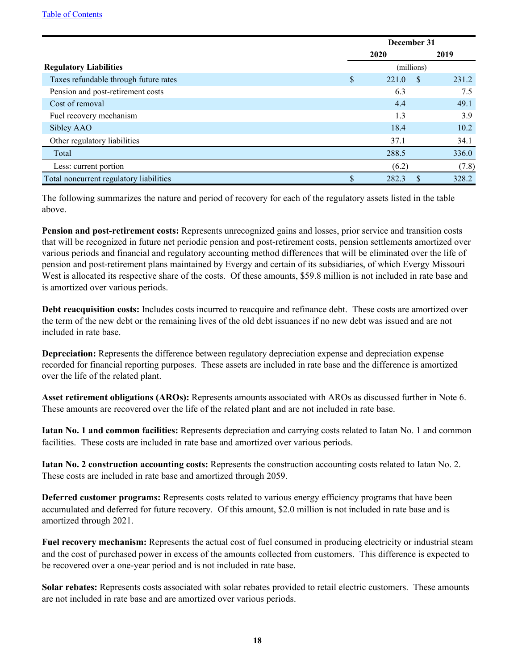|                                         | December 31 |            |    |       |  |  |
|-----------------------------------------|-------------|------------|----|-------|--|--|
|                                         |             | 2020       |    | 2019  |  |  |
| <b>Regulatory Liabilities</b>           |             | (millions) |    |       |  |  |
| Taxes refundable through future rates   | \$          | 221.0      | -S | 231.2 |  |  |
| Pension and post-retirement costs       |             | 6.3        |    | 7.5   |  |  |
| Cost of removal                         |             | 4.4        |    | 49.1  |  |  |
| Fuel recovery mechanism                 |             | 1.3        |    | 3.9   |  |  |
| Sibley AAO                              |             | 18.4       |    | 10.2  |  |  |
| Other regulatory liabilities            |             | 37.1       |    | 34.1  |  |  |
| Total                                   |             | 288.5      |    | 336.0 |  |  |
| Less: current portion                   |             | (6.2)      |    | (7.8) |  |  |
| Total noncurrent regulatory liabilities | \$          | 282.3      | S. | 328.2 |  |  |

The following summarizes the nature and period of recovery for each of the regulatory assets listed in the table above.

**Pension and post-retirement costs:** Represents unrecognized gains and losses, prior service and transition costs that will be recognized in future net periodic pension and post-retirement costs, pension settlements amortized over various periods and financial and regulatory accounting method differences that will be eliminated over the life of pension and post-retirement plans maintained by Evergy and certain of its subsidiaries, of which Evergy Missouri West is allocated its respective share of the costs. Of these amounts, \$59.8 million is not included in rate base and is amortized over various periods.

**Debt reacquisition costs:** Includes costs incurred to reacquire and refinance debt. These costs are amortized over the term of the new debt or the remaining lives of the old debt issuances if no new debt was issued and are not included in rate base.

**Depreciation:** Represents the difference between regulatory depreciation expense and depreciation expense recorded for financial reporting purposes. These assets are included in rate base and the difference is amortized over the life of the related plant.

**Asset retirement obligations (AROs):** Represents amounts associated with AROs as discussed further in Note 6. These amounts are recovered over the life of the related plant and are not included in rate base.

**Iatan No. 1 and common facilities:** Represents depreciation and carrying costs related to Iatan No. 1 and common facilities. These costs are included in rate base and amortized over various periods.

**Iatan No. 2 construction accounting costs:** Represents the construction accounting costs related to Iatan No. 2. These costs are included in rate base and amortized through 2059.

**Deferred customer programs:** Represents costs related to various energy efficiency programs that have been accumulated and deferred for future recovery. Of this amount, \$2.0 million is not included in rate base and is amortized through 2021.

**Fuel recovery mechanism:** Represents the actual cost of fuel consumed in producing electricity or industrial steam and the cost of purchased power in excess of the amounts collected from customers. This difference is expected to be recovered over a one-year period and is not included in rate base.

**Solar rebates:** Represents costs associated with solar rebates provided to retail electric customers. These amounts are not included in rate base and are amortized over various periods.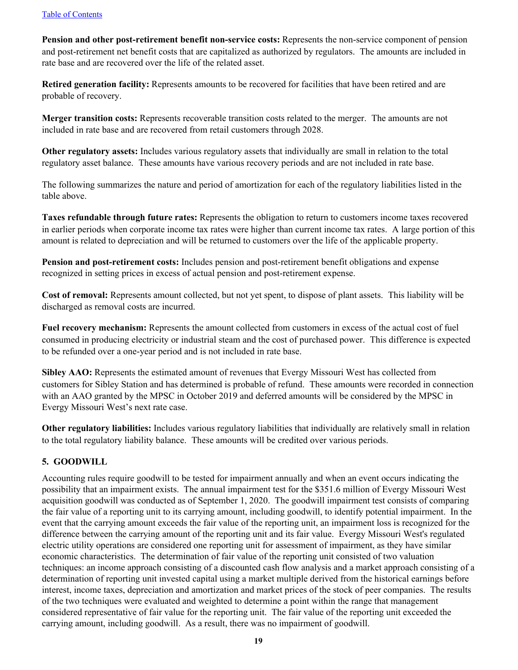<span id="page-18-0"></span>**Pension and other post-retirement benefit non-service costs:** Represents the non-service component of pension and post-retirement net benefit costs that are capitalized as authorized by regulators. The amounts are included in rate base and are recovered over the life of the related asset.

**Retired generation facility:** Represents amounts to be recovered for facilities that have been retired and are probable of recovery.

**Merger transition costs:** Represents recoverable transition costs related to the merger. The amounts are not included in rate base and are recovered from retail customers through 2028.

**Other regulatory assets:** Includes various regulatory assets that individually are small in relation to the total regulatory asset balance. These amounts have various recovery periods and are not included in rate base.

The following summarizes the nature and period of amortization for each of the regulatory liabilities listed in the table above.

**Taxes refundable through future rates:** Represents the obligation to return to customers income taxes recovered in earlier periods when corporate income tax rates were higher than current income tax rates. A large portion of this amount is related to depreciation and will be returned to customers over the life of the applicable property.

**Pension and post-retirement costs:** Includes pension and post-retirement benefit obligations and expense recognized in setting prices in excess of actual pension and post-retirement expense.

**Cost of removal:** Represents amount collected, but not yet spent, to dispose of plant assets. This liability will be discharged as removal costs are incurred.

**Fuel recovery mechanism:** Represents the amount collected from customers in excess of the actual cost of fuel consumed in producing electricity or industrial steam and the cost of purchased power. This difference is expected to be refunded over a one-year period and is not included in rate base.

**Sibley AAO:** Represents the estimated amount of revenues that Evergy Missouri West has collected from customers for Sibley Station and has determined is probable of refund. These amounts were recorded in connection with an AAO granted by the MPSC in October 2019 and deferred amounts will be considered by the MPSC in Evergy Missouri West's next rate case.

**Other regulatory liabilities:** Includes various regulatory liabilities that individually are relatively small in relation to the total regulatory liability balance. These amounts will be credited over various periods.

# **5. GOODWILL**

Accounting rules require goodwill to be tested for impairment annually and when an event occurs indicating the possibility that an impairment exists. The annual impairment test for the \$351.6 million of Evergy Missouri West acquisition goodwill was conducted as of September 1, 2020. The goodwill impairment test consists of comparing the fair value of a reporting unit to its carrying amount, including goodwill, to identify potential impairment. In the event that the carrying amount exceeds the fair value of the reporting unit, an impairment loss is recognized for the difference between the carrying amount of the reporting unit and its fair value. Evergy Missouri West's regulated electric utility operations are considered one reporting unit for assessment of impairment, as they have similar economic characteristics. The determination of fair value of the reporting unit consisted of two valuation techniques: an income approach consisting of a discounted cash flow analysis and a market approach consisting of a determination of reporting unit invested capital using a market multiple derived from the historical earnings before interest, income taxes, depreciation and amortization and market prices of the stock of peer companies. The results of the two techniques were evaluated and weighted to determine a point within the range that management considered representative of fair value for the reporting unit. The fair value of the reporting unit exceeded the carrying amount, including goodwill. As a result, there was no impairment of goodwill.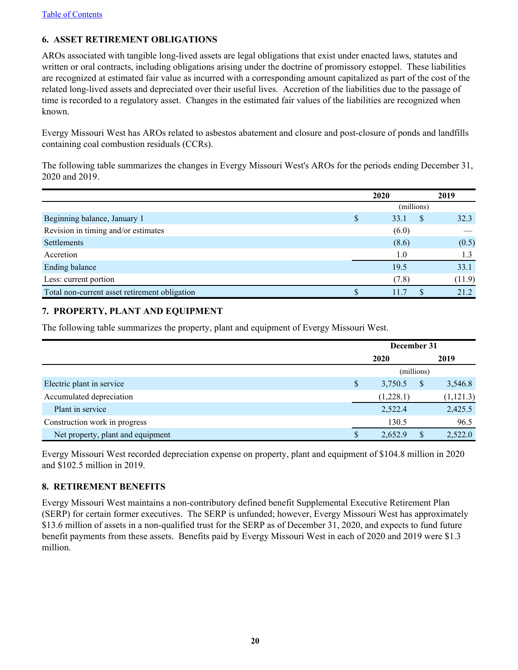# <span id="page-19-0"></span>**6. ASSET RETIREMENT OBLIGATIONS**

AROs associated with tangible long-lived assets are legal obligations that exist under enacted laws, statutes and written or oral contracts, including obligations arising under the doctrine of promissory estoppel. These liabilities are recognized at estimated fair value as incurred with a corresponding amount capitalized as part of the cost of the related long-lived assets and depreciated over their useful lives. Accretion of the liabilities due to the passage of time is recorded to a regulatory asset. Changes in the estimated fair values of the liabilities are recognized when known.

Evergy Missouri West has AROs related to asbestos abatement and closure and post-closure of ponds and landfills containing coal combustion residuals (CCRs).

The following table summarizes the changes in Evergy Missouri West's AROs for the periods ending December 31, 2020 and 2019.

|                                               | 2020 |            |   | 2019   |  |
|-----------------------------------------------|------|------------|---|--------|--|
|                                               |      | (millions) |   |        |  |
| Beginning balance, January 1                  | \$   | 33.1       | S | 32.3   |  |
| Revision in timing and/or estimates           |      | (6.0)      |   |        |  |
| Settlements                                   |      | (8.6)      |   | (0.5)  |  |
| Accretion                                     |      | 1.0        |   | 1.3    |  |
| Ending balance                                |      | 19.5       |   | 33.1   |  |
| Less: current portion                         |      | (7.8)      |   | (11.9) |  |
| Total non-current asset retirement obligation |      | 11.7       |   | 21.2   |  |

# **7. PROPERTY, PLANT AND EQUIPMENT**

The following table summarizes the property, plant and equipment of Evergy Missouri West.

|                                   |    | December 31 |            |            |
|-----------------------------------|----|-------------|------------|------------|
|                                   |    | 2020        |            | 2019       |
|                                   |    |             | (millions) |            |
| Electric plant in service         | \$ | 3,750.5     | S          | 3,546.8    |
| Accumulated depreciation          |    | (1,228.1)   |            | (1, 121.3) |
| Plant in service                  |    | 2,522.4     |            | 2,425.5    |
| Construction work in progress     |    | 130.5       |            | 96.5       |
| Net property, plant and equipment | S  | 2,652.9     |            | 2,522.0    |

Evergy Missouri West recorded depreciation expense on property, plant and equipment of \$104.8 million in 2020 and \$102.5 million in 2019.

# **8. RETIREMENT BENEFITS**

Evergy Missouri West maintains a non-contributory defined benefit Supplemental Executive Retirement Plan (SERP) for certain former executives. The SERP is unfunded; however, Evergy Missouri West has approximately \$13.6 million of assets in a non-qualified trust for the SERP as of December 31, 2020, and expects to fund future benefit payments from these assets. Benefits paid by Evergy Missouri West in each of 2020 and 2019 were \$1.3 million.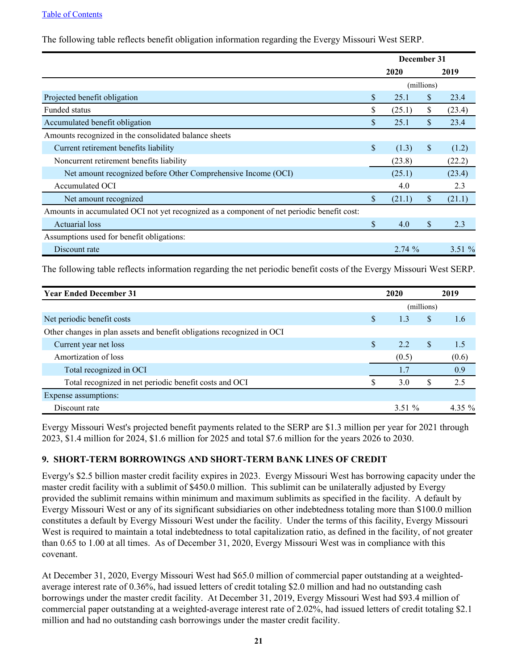#### <span id="page-20-0"></span>[Table of Contents](#page-1-0)

|                                                                                            |    | December 31 |                    |        |
|--------------------------------------------------------------------------------------------|----|-------------|--------------------|--------|
|                                                                                            |    | 2020        |                    | 2019   |
|                                                                                            |    |             | (millions)         |        |
| Projected benefit obligation                                                               | \$ | 25.1        | \$.                | 23.4   |
| Funded status                                                                              | S  | (25.1)      | \$                 | (23.4) |
| Accumulated benefit obligation                                                             | \$ | 25.1        | $\mathbf{\hat{S}}$ | 23.4   |
| Amounts recognized in the consolidated balance sheets                                      |    |             |                    |        |
| Current retirement benefits liability                                                      | \$ | (1.3)       | \$                 | (1.2)  |
| Noncurrent retirement benefits liability                                                   |    | (23.8)      |                    | (22.2) |
| Net amount recognized before Other Comprehensive Income (OCI)                              |    | (25.1)      |                    | (23.4) |
| Accumulated OCI                                                                            |    | 4.0         |                    | 2.3    |
| Net amount recognized                                                                      | \$ | (21.1)      | \$                 | (21.1) |
| Amounts in accumulated OCI not yet recognized as a component of net periodic benefit cost: |    |             |                    |        |
| <b>Actuarial</b> loss                                                                      | \$ | 4.0         | \$                 | 2.3    |
| Assumptions used for benefit obligations:                                                  |    |             |                    |        |
| Discount rate                                                                              |    | 2.74%       |                    | 3.51%  |

# The following table reflects benefit obligation information regarding the Evergy Missouri West SERP.

The following table reflects information regarding the net periodic benefit costs of the Evergy Missouri West SERP.

| <b>Year Ended December 31</b>                                          |  | 2020     |            | 2019      |
|------------------------------------------------------------------------|--|----------|------------|-----------|
|                                                                        |  |          | (millions) |           |
| Net periodic benefit costs                                             |  | 1.3      | S          | 1.6       |
| Other changes in plan assets and benefit obligations recognized in OCI |  |          |            |           |
| Current year net loss                                                  |  | 2.2      | S          | 1.5       |
| Amortization of loss                                                   |  | (0.5)    |            | (0.6)     |
| Total recognized in OCI                                                |  | 1.7      |            | 0.9       |
| Total recognized in net periodic benefit costs and OCI                 |  | 3.0      | S          | 2.5       |
| Expense assumptions:                                                   |  |          |            |           |
| Discount rate                                                          |  | $3.51\%$ |            | 4.35 $\%$ |

Evergy Missouri West's projected benefit payments related to the SERP are \$1.3 million per year for 2021 through 2023, \$1.4 million for 2024, \$1.6 million for 2025 and total \$7.6 million for the years 2026 to 2030.

# **9. SHORT-TERM BORROWINGS AND SHORT-TERM BANK LINES OF CREDIT**

Evergy's \$2.5 billion master credit facility expires in 2023. Evergy Missouri West has borrowing capacity under the master credit facility with a sublimit of \$450.0 million. This sublimit can be unilaterally adjusted by Evergy provided the sublimit remains within minimum and maximum sublimits as specified in the facility. A default by Evergy Missouri West or any of its significant subsidiaries on other indebtedness totaling more than \$100.0 million constitutes a default by Evergy Missouri West under the facility. Under the terms of this facility, Evergy Missouri West is required to maintain a total indebtedness to total capitalization ratio, as defined in the facility, of not greater than 0.65 to 1.00 at all times. As of December 31, 2020, Evergy Missouri West was in compliance with this covenant.

At December 31, 2020, Evergy Missouri West had \$65.0 million of commercial paper outstanding at a weightedaverage interest rate of 0.36%, had issued letters of credit totaling \$2.0 million and had no outstanding cash borrowings under the master credit facility. At December 31, 2019, Evergy Missouri West had \$93.4 million of commercial paper outstanding at a weighted-average interest rate of 2.02%, had issued letters of credit totaling \$2.1 million and had no outstanding cash borrowings under the master credit facility.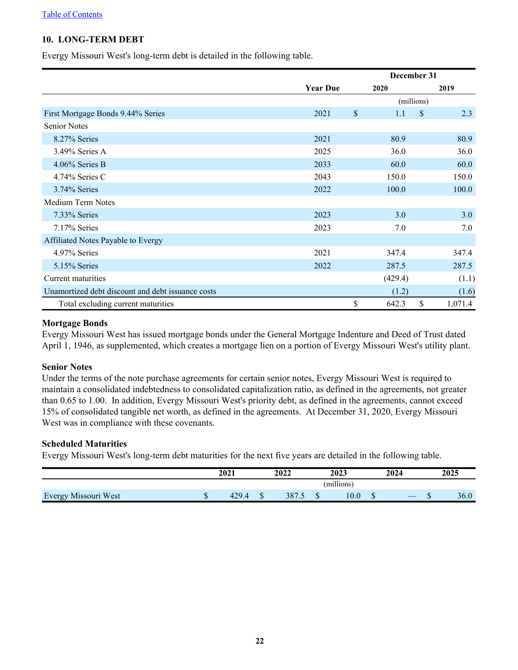# <span id="page-21-0"></span>**10. LONG-TERM DEBT**

Evergy Missouri West's long-term debt is detailed in the following table.

|                                                   |                 | December 31 |               |
|---------------------------------------------------|-----------------|-------------|---------------|
|                                                   | <b>Year Due</b> | 2020        | 2019          |
|                                                   |                 | (millions)  |               |
| First Mortgage Bonds 9.44% Series                 | 2021            | \$<br>1.1   | \$<br>2.3     |
| <b>Senior Notes</b>                               |                 |             |               |
| 8.27% Series                                      | 2021            | 80.9        | 80.9          |
| 3.49% Series A                                    | 2025            | 36.0        | 36.0          |
| 4.06% Series B                                    | 2033            | 60.0        | 60.0          |
| 4.74% Series C                                    | 2043            | 150.0       | 150.0         |
| 3.74% Series                                      | 2022            | 100.0       | 100.0         |
| Medium Term Notes                                 |                 |             |               |
| 7.33% Series                                      | 2023            | 3.0         | 3.0           |
| 7.17% Series                                      | 2023            | 7.0         | 7.0           |
| Affiliated Notes Payable to Evergy                |                 |             |               |
| 4.97% Series                                      | 2021            | 347.4       | 347.4         |
| 5.15% Series                                      | 2022            | 287.5       | 287.5         |
| Current maturities                                |                 | (429.4)     | (1.1)         |
| Unamortized debt discount and debt issuance costs |                 | (1.2)       | (1.6)         |
| Total excluding current maturities                |                 | \$<br>642.3 | \$<br>1,071.4 |

#### **Mortgage Bonds**

Evergy Missouri West has issued mortgage bonds under the General Mortgage Indenture and Deed of Trust dated April 1, 1946, as supplemented, which creates a mortgage lien on a portion of Evergy Missouri West's utility plant.

# **Senior Notes**

Under the terms of the note purchase agreements for certain senior notes, Evergy Missouri West is required to maintain a consolidated indebtedness to consolidated capitalization ratio, as defined in the agreements, not greater than 0.65 to 1.00. In addition, Evergy Missouri West's priority debt, as defined in the agreements, cannot exceed 15% of consolidated tangible net worth, as defined in the agreements. At December 31, 2020, Evergy Missouri West was in compliance with these covenants.

#### **Scheduled Maturities**

Evergy Missouri West's long-term debt maturities for the next five years are detailed in the following table.

|                      |   | 2021  |            | 2022       |   | 2023  |  | 2024 |   | 2025 |
|----------------------|---|-------|------------|------------|---|-------|--|------|---|------|
|                      |   |       | (millions) |            |   |       |  |      |   |      |
| Evergy Missouri West | Ψ | 429.4 | w          | 387<br>ن ، | w | l 0.0 |  |      | w | 36.0 |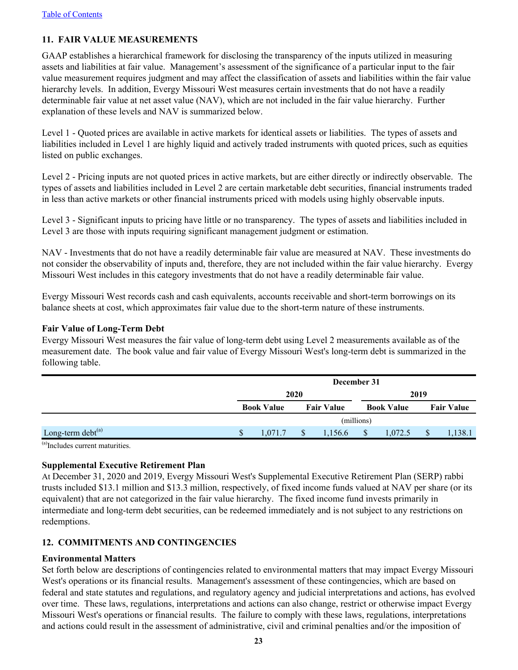# <span id="page-22-0"></span>**11. FAIR VALUE MEASUREMENTS**

GAAP establishes a hierarchical framework for disclosing the transparency of the inputs utilized in measuring assets and liabilities at fair value. Management's assessment of the significance of a particular input to the fair value measurement requires judgment and may affect the classification of assets and liabilities within the fair value hierarchy levels. In addition, Evergy Missouri West measures certain investments that do not have a readily determinable fair value at net asset value (NAV), which are not included in the fair value hierarchy. Further explanation of these levels and NAV is summarized below.

Level 1 - Quoted prices are available in active markets for identical assets or liabilities. The types of assets and liabilities included in Level 1 are highly liquid and actively traded instruments with quoted prices, such as equities listed on public exchanges.

Level 2 - Pricing inputs are not quoted prices in active markets, but are either directly or indirectly observable. The types of assets and liabilities included in Level 2 are certain marketable debt securities, financial instruments traded in less than active markets or other financial instruments priced with models using highly observable inputs.

Level 3 - Significant inputs to pricing have little or no transparency. The types of assets and liabilities included in Level 3 are those with inputs requiring significant management judgment or estimation.

NAV - Investments that do not have a readily determinable fair value are measured at NAV. These investments do not consider the observability of inputs and, therefore, they are not included within the fair value hierarchy. Evergy Missouri West includes in this category investments that do not have a readily determinable fair value.

Evergy Missouri West records cash and cash equivalents, accounts receivable and short-term borrowings on its balance sheets at cost, which approximates fair value due to the short-term nature of these instruments.

#### **Fair Value of Long-Term Debt**

Evergy Missouri West measures the fair value of long-term debt using Level 2 measurements available as of the measurement date. The book value and fair value of Evergy Missouri West's long-term debt is summarized in the following table.

|                        | December 31                            |  |         |            |                   |      |                   |  |
|------------------------|----------------------------------------|--|---------|------------|-------------------|------|-------------------|--|
|                        | 2020                                   |  |         |            |                   | 2019 |                   |  |
|                        | <b>Book Value</b><br><b>Fair Value</b> |  |         |            | <b>Book Value</b> |      | <b>Fair Value</b> |  |
|                        |                                        |  |         | (millions) |                   |      |                   |  |
| Long-term $debt^{(a)}$ | \$<br>1.071.7                          |  | 1,156.6 |            | 1,072.5           | S    | 1,138.1           |  |

(a)Includes current maturities.

# **Supplemental Executive Retirement Plan**

At December 31, 2020 and 2019, Evergy Missouri West's Supplemental Executive Retirement Plan (SERP) rabbi trusts included \$13.1 million and \$13.3 million, respectively, of fixed income funds valued at NAV per share (or its equivalent) that are not categorized in the fair value hierarchy. The fixed income fund invests primarily in intermediate and long-term debt securities, can be redeemed immediately and is not subject to any restrictions on redemptions.

# **12. COMMITMENTS AND CONTINGENCIES**

#### **Environmental Matters**

Set forth below are descriptions of contingencies related to environmental matters that may impact Evergy Missouri West's operations or its financial results. Management's assessment of these contingencies, which are based on federal and state statutes and regulations, and regulatory agency and judicial interpretations and actions, has evolved over time. These laws, regulations, interpretations and actions can also change, restrict or otherwise impact Evergy Missouri West's operations or financial results. The failure to comply with these laws, regulations, interpretations and actions could result in the assessment of administrative, civil and criminal penalties and/or the imposition of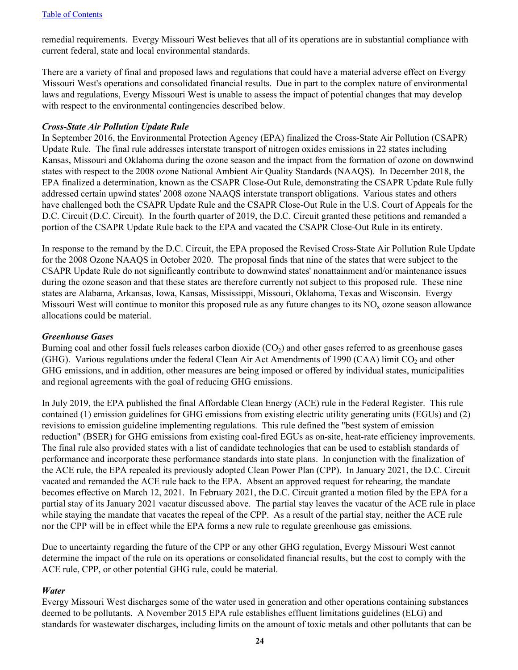remedial requirements. Evergy Missouri West believes that all of its operations are in substantial compliance with current federal, state and local environmental standards.

There are a variety of final and proposed laws and regulations that could have a material adverse effect on Evergy Missouri West's operations and consolidated financial results. Due in part to the complex nature of environmental laws and regulations, Evergy Missouri West is unable to assess the impact of potential changes that may develop with respect to the environmental contingencies described below.

#### *Cross-State Air Pollution Update Rule*

In September 2016, the Environmental Protection Agency (EPA) finalized the Cross-State Air Pollution (CSAPR) Update Rule. The final rule addresses interstate transport of nitrogen oxides emissions in 22 states including Kansas, Missouri and Oklahoma during the ozone season and the impact from the formation of ozone on downwind states with respect to the 2008 ozone National Ambient Air Quality Standards (NAAQS). In December 2018, the EPA finalized a determination, known as the CSAPR Close-Out Rule, demonstrating the CSAPR Update Rule fully addressed certain upwind states' 2008 ozone NAAQS interstate transport obligations. Various states and others have challenged both the CSAPR Update Rule and the CSAPR Close-Out Rule in the U.S. Court of Appeals for the D.C. Circuit (D.C. Circuit). In the fourth quarter of 2019, the D.C. Circuit granted these petitions and remanded a portion of the CSAPR Update Rule back to the EPA and vacated the CSAPR Close-Out Rule in its entirety.

In response to the remand by the D.C. Circuit, the EPA proposed the Revised Cross-State Air Pollution Rule Update for the 2008 Ozone NAAQS in October 2020. The proposal finds that nine of the states that were subject to the CSAPR Update Rule do not significantly contribute to downwind states' nonattainment and/or maintenance issues during the ozone season and that these states are therefore currently not subject to this proposed rule. These nine states are Alabama, Arkansas, Iowa, Kansas, Mississippi, Missouri, Oklahoma, Texas and Wisconsin. Evergy Missouri West will continue to monitor this proposed rule as any future changes to its  $NO<sub>x</sub>$  ozone season allowance allocations could be material.

#### *Greenhouse Gases*

Burning coal and other fossil fuels releases carbon dioxide  $(CO<sub>2</sub>)$  and other gases referred to as greenhouse gases (GHG). Various regulations under the federal Clean Air Act Amendments of 1990 (CAA) limit  $CO<sub>2</sub>$  and other GHG emissions, and in addition, other measures are being imposed or offered by individual states, municipalities and regional agreements with the goal of reducing GHG emissions.

In July 2019, the EPA published the final Affordable Clean Energy (ACE) rule in the Federal Register. This rule contained (1) emission guidelines for GHG emissions from existing electric utility generating units (EGUs) and (2) revisions to emission guideline implementing regulations. This rule defined the "best system of emission reduction" (BSER) for GHG emissions from existing coal-fired EGUs as on-site, heat-rate efficiency improvements. The final rule also provided states with a list of candidate technologies that can be used to establish standards of performance and incorporate these performance standards into state plans. In conjunction with the finalization of the ACE rule, the EPA repealed its previously adopted Clean Power Plan (CPP). In January 2021, the D.C. Circuit vacated and remanded the ACE rule back to the EPA. Absent an approved request for rehearing, the mandate becomes effective on March 12, 2021. In February 2021, the D.C. Circuit granted a motion filed by the EPA for a partial stay of its January 2021 vacatur discussed above. The partial stay leaves the vacatur of the ACE rule in place while staying the mandate that vacates the repeal of the CPP. As a result of the partial stay, neither the ACE rule nor the CPP will be in effect while the EPA forms a new rule to regulate greenhouse gas emissions.

Due to uncertainty regarding the future of the CPP or any other GHG regulation, Evergy Missouri West cannot determine the impact of the rule on its operations or consolidated financial results, but the cost to comply with the ACE rule, CPP, or other potential GHG rule, could be material.

#### *Water*

Evergy Missouri West discharges some of the water used in generation and other operations containing substances deemed to be pollutants. A November 2015 EPA rule establishes effluent limitations guidelines (ELG) and standards for wastewater discharges, including limits on the amount of toxic metals and other pollutants that can be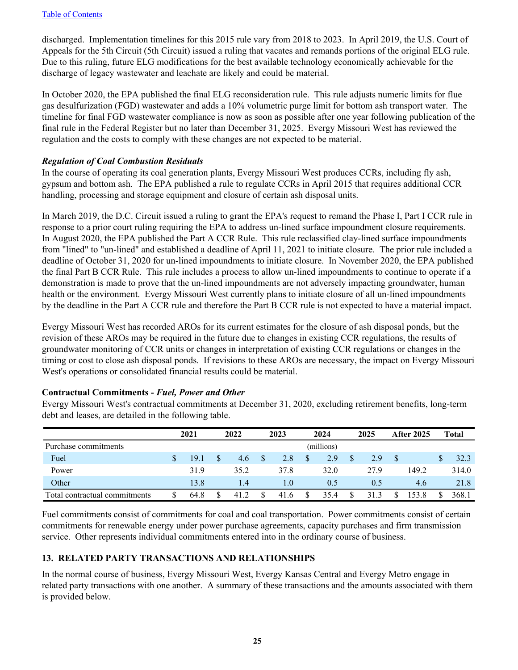<span id="page-24-0"></span>discharged. Implementation timelines for this 2015 rule vary from 2018 to 2023. In April 2019, the U.S. Court of Appeals for the 5th Circuit (5th Circuit) issued a ruling that vacates and remands portions of the original ELG rule. Due to this ruling, future ELG modifications for the best available technology economically achievable for the discharge of legacy wastewater and leachate are likely and could be material.

In October 2020, the EPA published the final ELG reconsideration rule. This rule adjusts numeric limits for flue gas desulfurization (FGD) wastewater and adds a 10% volumetric purge limit for bottom ash transport water. The timeline for final FGD wastewater compliance is now as soon as possible after one year following publication of the final rule in the Federal Register but no later than December 31, 2025. Evergy Missouri West has reviewed the regulation and the costs to comply with these changes are not expected to be material.

# *Regulation of Coal Combustion Residuals*

In the course of operating its coal generation plants, Evergy Missouri West produces CCRs, including fly ash, gypsum and bottom ash. The EPA published a rule to regulate CCRs in April 2015 that requires additional CCR handling, processing and storage equipment and closure of certain ash disposal units.

In March 2019, the D.C. Circuit issued a ruling to grant the EPA's request to remand the Phase I, Part I CCR rule in response to a prior court ruling requiring the EPA to address un-lined surface impoundment closure requirements. In August 2020, the EPA published the Part A CCR Rule. This rule reclassified clay-lined surface impoundments from "lined" to "un-lined" and established a deadline of April 11, 2021 to initiate closure. The prior rule included a deadline of October 31, 2020 for un-lined impoundments to initiate closure. In November 2020, the EPA published the final Part B CCR Rule. This rule includes a process to allow un-lined impoundments to continue to operate if a demonstration is made to prove that the un-lined impoundments are not adversely impacting groundwater, human health or the environment. Evergy Missouri West currently plans to initiate closure of all un-lined impoundments by the deadline in the Part A CCR rule and therefore the Part B CCR rule is not expected to have a material impact.

Evergy Missouri West has recorded AROs for its current estimates for the closure of ash disposal ponds, but the revision of these AROs may be required in the future due to changes in existing CCR regulations, the results of groundwater monitoring of CCR units or changes in interpretation of existing CCR regulations or changes in the timing or cost to close ash disposal ponds. If revisions to these AROs are necessary, the impact on Evergy Missouri West's operations or consolidated financial results could be material.

# **Contractual Commitments -** *Fuel, Power and Other*

Evergy Missouri West's contractual commitments at December 31, 2020, excluding retirement benefits, long-term debt and leases, are detailed in the following table.

|                               | 2021 |              | 2022 |              | 2023             |              | 2024       |   | 2025 |          | <b>After 2025</b> | <b>Total</b> |
|-------------------------------|------|--------------|------|--------------|------------------|--------------|------------|---|------|----------|-------------------|--------------|
| Purchase commitments          |      |              |      |              |                  |              | (millions) |   |      |          |                   |              |
| Fuel                          | 19.1 | <sup>S</sup> | 4.6  | $\mathbf{S}$ | 2.8              | <sup>S</sup> | 2.9        | S | 2.9  | <b>S</b> |                   | 32.3         |
| Power                         | 31.9 |              | 35.2 |              | 37.8             |              | 32.0       |   | 27.9 |          | 149.2             | 314.0        |
| Other                         | 13.8 |              | 1.4  |              | 1.0 <sub>l</sub> |              | 0.5        |   | 0.5  |          | 4.6               | 21.8         |
| Total contractual commitments | 64.8 | S            | 41.2 | S.           | 41.6             | S            | 35.4       | S | 31.3 | S        | 153.8             | 368.1        |

Fuel commitments consist of commitments for coal and coal transportation. Power commitments consist of certain commitments for renewable energy under power purchase agreements, capacity purchases and firm transmission service. Other represents individual commitments entered into in the ordinary course of business.

# **13. RELATED PARTY TRANSACTIONS AND RELATIONSHIPS**

In the normal course of business, Evergy Missouri West, Evergy Kansas Central and Evergy Metro engage in related party transactions with one another. A summary of these transactions and the amounts associated with them is provided below.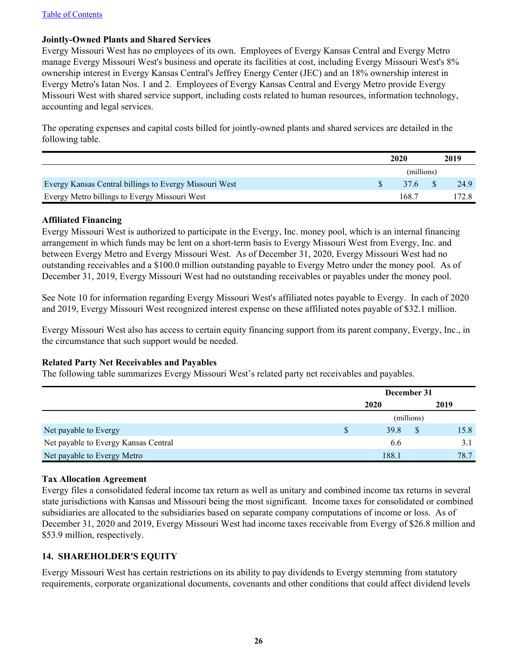#### <span id="page-25-0"></span>[Table of Contents](#page-1-0)

#### **Jointly-Owned Plants and Shared Services**

Evergy Missouri West has no employees of its own. Employees of Evergy Kansas Central and Evergy Metro manage Evergy Missouri West's business and operate its facilities at cost, including Evergy Missouri West's 8% ownership interest in Evergy Kansas Central's Jeffrey Energy Center (JEC) and an 18% ownership interest in Evergy Metro's Iatan Nos. 1 and 2. Employees of Evergy Kansas Central and Evergy Metro provide Evergy Missouri West with shared service support, including costs related to human resources, information technology, accounting and legal services.

The operating expenses and capital costs billed for jointly-owned plants and shared services are detailed in the following table.

|                                                        | 2020 |            |              | 2019 |  |
|--------------------------------------------------------|------|------------|--------------|------|--|
|                                                        |      | (millions) |              |      |  |
| Evergy Kansas Central billings to Evergy Missouri West |      | 37.6       | $^{\circ}$ S | 24.9 |  |
| Evergy Metro billings to Evergy Missouri West          |      | 168.7      |              |      |  |

#### **Affiliated Financing**

Evergy Missouri West is authorized to participate in the Evergy, Inc. money pool, which is an internal financing arrangement in which funds may be lent on a short-term basis to Evergy Missouri West from Evergy, Inc. and between Evergy Metro and Evergy Missouri West. As of December 31, 2020, Evergy Missouri West had no outstanding receivables and a \$100.0 million outstanding payable to Evergy Metro under the money pool. As of December 31, 2019, Evergy Missouri West had no outstanding receivables or payables under the money pool.

See Note 10 for information regarding Evergy Missouri West's affiliated notes payable to Evergy. In each of 2020 and 2019, Evergy Missouri West recognized interest expense on these affiliated notes payable of \$32.1 million.

Evergy Missouri West also has access to certain equity financing support from its parent company, Evergy, Inc., in the circumstance that such support would be needed.

#### **Related Party Net Receivables and Payables**

The following table summarizes Evergy Missouri West's related party net receivables and payables.

|                                      |              | December 31 |   |      |  |  |
|--------------------------------------|--------------|-------------|---|------|--|--|
|                                      |              | 2020        |   | 2019 |  |  |
|                                      |              | (millions)  |   |      |  |  |
| Net payable to Evergy                | $\mathbb{S}$ | 39.8        | S | 15.8 |  |  |
| Net payable to Evergy Kansas Central |              | 6.6         |   | 3.1  |  |  |
| Net payable to Evergy Metro          |              | 188.1       |   | 78.7 |  |  |

#### **Tax Allocation Agreement**

Evergy files a consolidated federal income tax return as well as unitary and combined income tax returns in several state jurisdictions with Kansas and Missouri being the most significant. Income taxes for consolidated or combined subsidiaries are allocated to the subsidiaries based on separate company computations of income or loss. As of December 31, 2020 and 2019, Evergy Missouri West had income taxes receivable from Evergy of \$26.8 million and \$53.9 million, respectively.

# **14. SHAREHOLDER'S EQUITY**

Evergy Missouri West has certain restrictions on its ability to pay dividends to Evergy stemming from statutory requirements, corporate organizational documents, covenants and other conditions that could affect dividend levels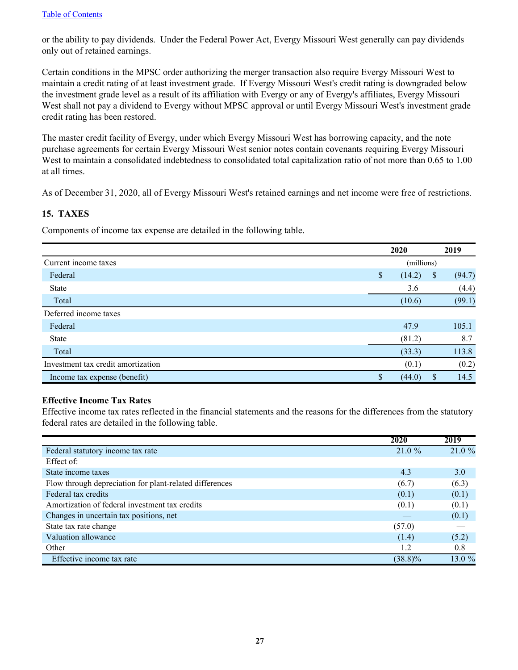<span id="page-26-0"></span>or the ability to pay dividends. Under the Federal Power Act, Evergy Missouri West generally can pay dividends only out of retained earnings.

Certain conditions in the MPSC order authorizing the merger transaction also require Evergy Missouri West to maintain a credit rating of at least investment grade. If Evergy Missouri West's credit rating is downgraded below the investment grade level as a result of its affiliation with Evergy or any of Evergy's affiliates, Evergy Missouri West shall not pay a dividend to Evergy without MPSC approval or until Evergy Missouri West's investment grade credit rating has been restored.

The master credit facility of Evergy, under which Evergy Missouri West has borrowing capacity, and the note purchase agreements for certain Evergy Missouri West senior notes contain covenants requiring Evergy Missouri West to maintain a consolidated indebtedness to consolidated total capitalization ratio of not more than 0.65 to 1.00 at all times.

As of December 31, 2020, all of Evergy Missouri West's retained earnings and net income were free of restrictions.

# **15. TAXES**

Components of income tax expense are detailed in the following table.

|                                    | 2020       |        | 2019 |        |
|------------------------------------|------------|--------|------|--------|
| Current income taxes               | (millions) |        |      |        |
| Federal                            | \$         | (14.2) | S    | (94.7) |
| <b>State</b>                       |            | 3.6    |      | (4.4)  |
| Total                              |            | (10.6) |      | (99.1) |
| Deferred income taxes              |            |        |      |        |
| Federal                            |            | 47.9   |      | 105.1  |
| <b>State</b>                       |            | (81.2) |      | 8.7    |
| Total                              |            | (33.3) |      | 113.8  |
| Investment tax credit amortization |            | (0.1)  |      | (0.2)  |
| Income tax expense (benefit)       | \$         | (44.0) | S    | 14.5   |

# **Effective Income Tax Rates**

Effective income tax rates reflected in the financial statements and the reasons for the differences from the statutory federal rates are detailed in the following table.

|                                                         | 2020       | 2019   |
|---------------------------------------------------------|------------|--------|
| Federal statutory income tax rate                       | 21.0%      | 21.0%  |
| Effect of:                                              |            |        |
| State income taxes                                      | 4.3        | 3.0    |
| Flow through depreciation for plant-related differences | (6.7)      | (6.3)  |
| Federal tax credits                                     | (0.1)      | (0.1)  |
| Amortization of federal investment tax credits          | (0.1)      | (0.1)  |
| Changes in uncertain tax positions, net                 |            | (0.1)  |
| State tax rate change                                   | (57.0)     |        |
| Valuation allowance                                     | (1.4)      | (5.2)  |
| Other                                                   | 1.2        | 0.8    |
| Effective income tax rate                               | $(38.8)\%$ | 13.0 % |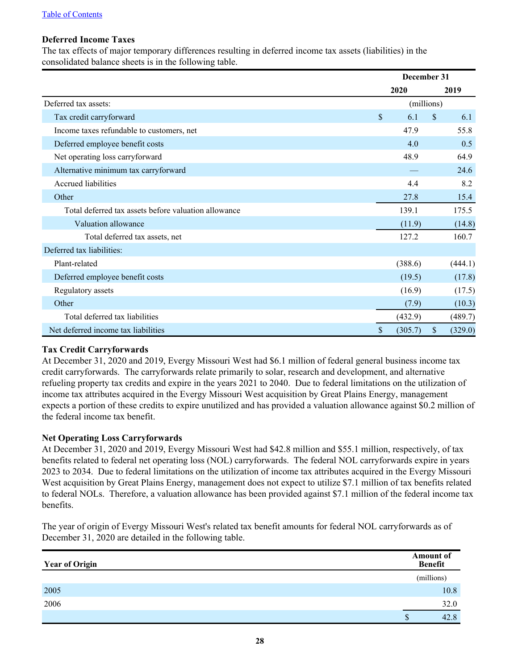# **Deferred Income Taxes**

The tax effects of major temporary differences resulting in deferred income tax assets (liabilities) in the consolidated balance sheets is in the following table.

|                                                      |      | December 31         |         |  |  |
|------------------------------------------------------|------|---------------------|---------|--|--|
|                                                      | 2020 |                     | 2019    |  |  |
| Deferred tax assets:                                 |      | (millions)          |         |  |  |
| Tax credit carryforward                              | \$   | $\mathbb{S}$<br>6.1 | 6.1     |  |  |
| Income taxes refundable to customers, net            |      | 47.9                | 55.8    |  |  |
| Deferred employee benefit costs                      |      | 4.0                 | 0.5     |  |  |
| Net operating loss carryforward                      |      | 48.9                | 64.9    |  |  |
| Alternative minimum tax carryforward                 |      |                     | 24.6    |  |  |
| <b>Accrued liabilities</b>                           |      | 4.4                 | 8.2     |  |  |
| Other                                                |      | 27.8                | 15.4    |  |  |
| Total deferred tax assets before valuation allowance |      | 139.1               | 175.5   |  |  |
| Valuation allowance                                  |      | (11.9)              | (14.8)  |  |  |
| Total deferred tax assets, net                       |      | 127.2               | 160.7   |  |  |
| Deferred tax liabilities:                            |      |                     |         |  |  |
| Plant-related                                        |      | (388.6)             | (444.1) |  |  |
| Deferred employee benefit costs                      |      | (19.5)              | (17.8)  |  |  |
| Regulatory assets                                    |      | (16.9)              | (17.5)  |  |  |
| Other                                                |      | (7.9)               | (10.3)  |  |  |
| Total deferred tax liabilities                       |      | (432.9)             | (489.7) |  |  |
| Net deferred income tax liabilities                  | \$   | \$<br>(305.7)       | (329.0) |  |  |

#### **Tax Credit Carryforwards**

At December 31, 2020 and 2019, Evergy Missouri West had \$6.1 million of federal general business income tax credit carryforwards. The carryforwards relate primarily to solar, research and development, and alternative refueling property tax credits and expire in the years 2021 to 2040. Due to federal limitations on the utilization of income tax attributes acquired in the Evergy Missouri West acquisition by Great Plains Energy, management expects a portion of these credits to expire unutilized and has provided a valuation allowance against \$0.2 million of the federal income tax benefit.

#### **Net Operating Loss Carryforwards**

At December 31, 2020 and 2019, Evergy Missouri West had \$42.8 million and \$55.1 million, respectively, of tax benefits related to federal net operating loss (NOL) carryforwards. The federal NOL carryforwards expire in years 2023 to 2034. Due to federal limitations on the utilization of income tax attributes acquired in the Evergy Missouri West acquisition by Great Plains Energy, management does not expect to utilize \$7.1 million of tax benefits related to federal NOLs. Therefore, a valuation allowance has been provided against \$7.1 million of the federal income tax benefits.

The year of origin of Evergy Missouri West's related tax benefit amounts for federal NOL carryforwards as of December 31, 2020 are detailed in the following table.

| <b>Year of Origin</b> | <b>Amount of</b><br><b>Benefit</b> |
|-----------------------|------------------------------------|
|                       | (millions)                         |
| 2005                  | 10.8                               |
| 2006                  | 32.0                               |
|                       | 42.8<br>۰D                         |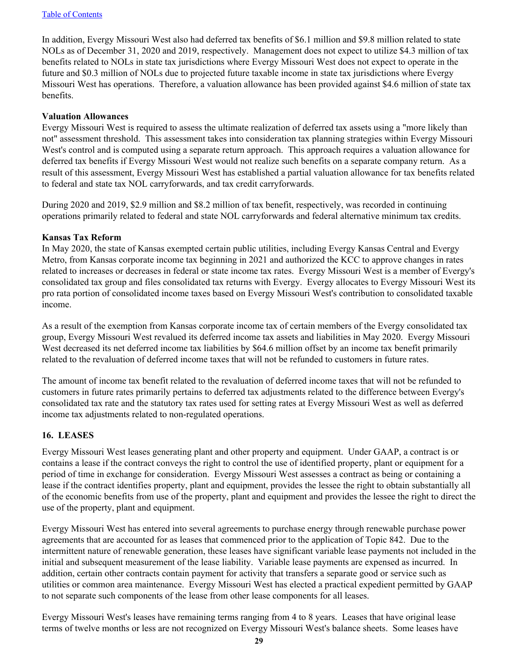<span id="page-28-0"></span>In addition, Evergy Missouri West also had deferred tax benefits of \$6.1 million and \$9.8 million related to state NOLs as of December 31, 2020 and 2019, respectively. Management does not expect to utilize \$4.3 million of tax benefits related to NOLs in state tax jurisdictions where Evergy Missouri West does not expect to operate in the future and \$0.3 million of NOLs due to projected future taxable income in state tax jurisdictions where Evergy Missouri West has operations. Therefore, a valuation allowance has been provided against \$4.6 million of state tax benefits.

# **Valuation Allowances**

Evergy Missouri West is required to assess the ultimate realization of deferred tax assets using a "more likely than not" assessment threshold. This assessment takes into consideration tax planning strategies within Evergy Missouri West's control and is computed using a separate return approach. This approach requires a valuation allowance for deferred tax benefits if Evergy Missouri West would not realize such benefits on a separate company return. As a result of this assessment, Evergy Missouri West has established a partial valuation allowance for tax benefits related to federal and state tax NOL carryforwards, and tax credit carryforwards.

During 2020 and 2019, \$2.9 million and \$8.2 million of tax benefit, respectively, was recorded in continuing operations primarily related to federal and state NOL carryforwards and federal alternative minimum tax credits.

# **Kansas Tax Reform**

In May 2020, the state of Kansas exempted certain public utilities, including Evergy Kansas Central and Evergy Metro, from Kansas corporate income tax beginning in 2021 and authorized the KCC to approve changes in rates related to increases or decreases in federal or state income tax rates. Evergy Missouri West is a member of Evergy's consolidated tax group and files consolidated tax returns with Evergy. Evergy allocates to Evergy Missouri West its pro rata portion of consolidated income taxes based on Evergy Missouri West's contribution to consolidated taxable income.

As a result of the exemption from Kansas corporate income tax of certain members of the Evergy consolidated tax group, Evergy Missouri West revalued its deferred income tax assets and liabilities in May 2020. Evergy Missouri West decreased its net deferred income tax liabilities by \$64.6 million offset by an income tax benefit primarily related to the revaluation of deferred income taxes that will not be refunded to customers in future rates.

The amount of income tax benefit related to the revaluation of deferred income taxes that will not be refunded to customers in future rates primarily pertains to deferred tax adjustments related to the difference between Evergy's consolidated tax rate and the statutory tax rates used for setting rates at Evergy Missouri West as well as deferred income tax adjustments related to non-regulated operations.

# **16. LEASES**

Evergy Missouri West leases generating plant and other property and equipment. Under GAAP, a contract is or contains a lease if the contract conveys the right to control the use of identified property, plant or equipment for a period of time in exchange for consideration. Evergy Missouri West assesses a contract as being or containing a lease if the contract identifies property, plant and equipment, provides the lessee the right to obtain substantially all of the economic benefits from use of the property, plant and equipment and provides the lessee the right to direct the use of the property, plant and equipment.

Evergy Missouri West has entered into several agreements to purchase energy through renewable purchase power agreements that are accounted for as leases that commenced prior to the application of Topic 842. Due to the intermittent nature of renewable generation, these leases have significant variable lease payments not included in the initial and subsequent measurement of the lease liability. Variable lease payments are expensed as incurred. In addition, certain other contracts contain payment for activity that transfers a separate good or service such as utilities or common area maintenance. Evergy Missouri West has elected a practical expedient permitted by GAAP to not separate such components of the lease from other lease components for all leases.

Evergy Missouri West's leases have remaining terms ranging from 4 to 8 years. Leases that have original lease terms of twelve months or less are not recognized on Evergy Missouri West's balance sheets. Some leases have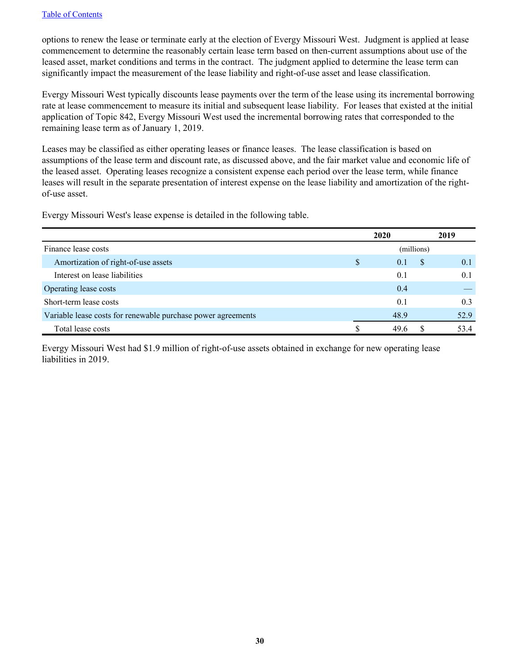options to renew the lease or terminate early at the election of Evergy Missouri West. Judgment is applied at lease commencement to determine the reasonably certain lease term based on then-current assumptions about use of the leased asset, market conditions and terms in the contract. The judgment applied to determine the lease term can significantly impact the measurement of the lease liability and right-of-use asset and lease classification.

Evergy Missouri West typically discounts lease payments over the term of the lease using its incremental borrowing rate at lease commencement to measure its initial and subsequent lease liability. For leases that existed at the initial application of Topic 842, Evergy Missouri West used the incremental borrowing rates that corresponded to the remaining lease term as of January 1, 2019.

Leases may be classified as either operating leases or finance leases. The lease classification is based on assumptions of the lease term and discount rate, as discussed above, and the fair market value and economic life of the leased asset. Operating leases recognize a consistent expense each period over the lease term, while finance leases will result in the separate presentation of interest expense on the lease liability and amortization of the rightof-use asset.

Evergy Missouri West's lease expense is detailed in the following table.

|                                                              |   | 2020       |   | 2019 |
|--------------------------------------------------------------|---|------------|---|------|
| Finance lease costs                                          |   | (millions) |   |      |
| Amortization of right-of-use assets                          | S | 0.1        | S | 0.1  |
| Interest on lease liabilities                                |   | 0.1        |   | 0.1  |
| Operating lease costs                                        |   | 0.4        |   |      |
| Short-term lease costs                                       |   | 0.1        |   | 0.3  |
| Variable lease costs for renewable purchase power agreements |   | 48.9       |   | 52.9 |
| Total lease costs                                            |   | 49.6       |   | 53.4 |

Evergy Missouri West had \$1.9 million of right-of-use assets obtained in exchange for new operating lease liabilities in 2019.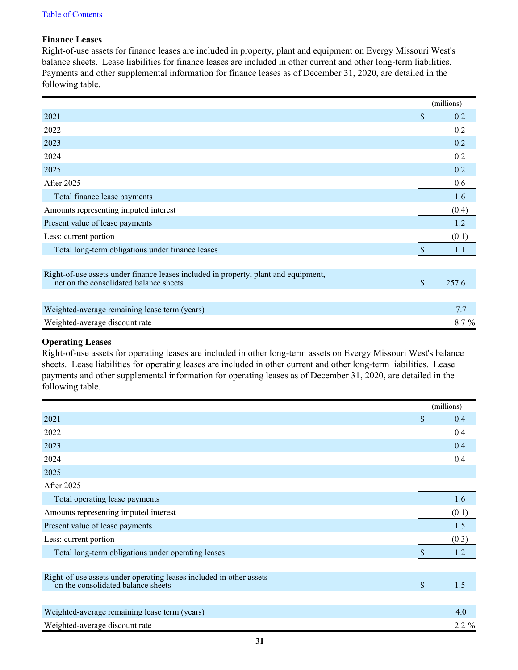# **Finance Leases**

Right-of-use assets for finance leases are included in property, plant and equipment on Evergy Missouri West's balance sheets. Lease liabilities for finance leases are included in other current and other long-term liabilities. Payments and other supplemental information for finance leases as of December 31, 2020, are detailed in the following table.

|                                                                                                                               |               | (millions) |
|-------------------------------------------------------------------------------------------------------------------------------|---------------|------------|
| 2021                                                                                                                          | $\mathbb{S}$  | 0.2        |
| 2022                                                                                                                          |               | 0.2        |
| 2023                                                                                                                          |               | 0.2        |
| 2024                                                                                                                          |               | 0.2        |
| 2025                                                                                                                          |               | 0.2        |
| <b>After 2025</b>                                                                                                             |               | 0.6        |
| Total finance lease payments                                                                                                  |               | 1.6        |
| Amounts representing imputed interest                                                                                         |               | (0.4)      |
| Present value of lease payments                                                                                               |               | 1.2        |
| Less: current portion                                                                                                         |               | (0.1)      |
| Total long-term obligations under finance leases                                                                              | $\mathsf{\$}$ | 1.1        |
|                                                                                                                               |               |            |
| Right-of-use assets under finance leases included in property, plant and equipment,<br>net on the consolidated balance sheets | \$            | 257.6      |
|                                                                                                                               |               |            |
| Weighted-average remaining lease term (years)                                                                                 |               | 7.7        |
| Weighted-average discount rate                                                                                                |               | $8.7\%$    |

# **Operating Leases**

Right-of-use assets for operating leases are included in other long-term assets on Evergy Missouri West's balance sheets. Lease liabilities for operating leases are included in other current and other long-term liabilities. Lease payments and other supplemental information for operating leases as of December 31, 2020, are detailed in the following table.

|                                                                                                           |                           | (millions) |
|-----------------------------------------------------------------------------------------------------------|---------------------------|------------|
| 2021                                                                                                      | $\mathcal{S}$             | 0.4        |
| 2022                                                                                                      |                           | 0.4        |
| 2023                                                                                                      |                           | 0.4        |
| 2024                                                                                                      |                           | 0.4        |
| 2025                                                                                                      |                           |            |
| <b>After 2025</b>                                                                                         |                           |            |
| Total operating lease payments                                                                            |                           | 1.6        |
| Amounts representing imputed interest                                                                     |                           | (0.1)      |
| Present value of lease payments                                                                           |                           | 1.5        |
| Less: current portion                                                                                     |                           | (0.3)      |
| Total long-term obligations under operating leases                                                        | $\boldsymbol{\mathsf{S}}$ | 1.2        |
|                                                                                                           |                           |            |
| Right-of-use assets under operating leases included in other assets<br>on the consolidated balance sheets | $\sqrt{\ }$               | 1.5        |
|                                                                                                           |                           |            |
| Weighted-average remaining lease term (years)                                                             |                           | 4.0        |
| Weighted-average discount rate                                                                            |                           | $2.2 \%$   |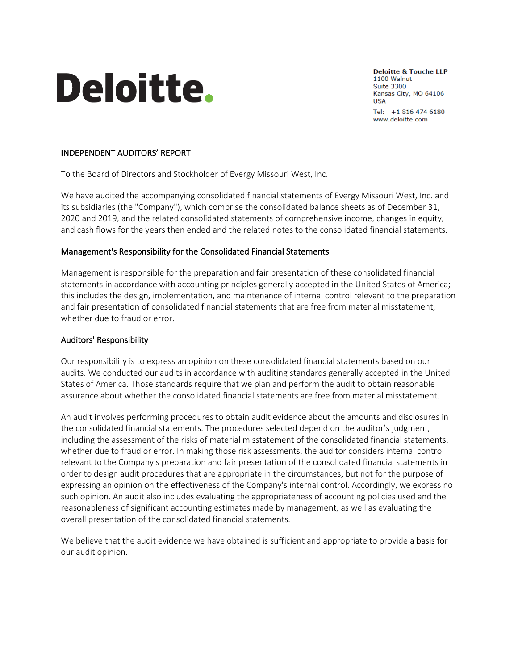

**Deloitte & Touche LLP** 1100 Walnut **Suite 3300** Kansas City, MO 64106 **USA** Tel: +1 816 474 6180 www.deloitte.com

## INDEPENDENT AUDITORS' REPORT

To the Board of Directors and Stockholder of Evergy Missouri West, Inc.

We have audited the accompanying consolidated financial statements of Evergy Missouri West, Inc. and its subsidiaries (the "Company"), which comprise the consolidated balance sheets as of December 31, 2020 and 2019, and the related consolidated statements of comprehensive income, changes in equity, and cash flows for the years then ended and the related notes to the consolidated financial statements.

#### Management's Responsibility for the Consolidated Financial Statements

Management is responsible for the preparation and fair presentation of these consolidated financial statements in accordance with accounting principles generally accepted in the United States of America; this includes the design, implementation, and maintenance of internal control relevant to the preparation and fair presentation of consolidated financial statements that are free from material misstatement, whether due to fraud or error.

#### Auditors' Responsibility

Our responsibility is to express an opinion on these consolidated financial statements based on our audits. We conducted our audits in accordance with auditing standards generally accepted in the United States of America. Those standards require that we plan and perform the audit to obtain reasonable assurance about whether the consolidated financial statements are free from material misstatement.

An audit involves performing procedures to obtain audit evidence about the amounts and disclosures in the consolidated financial statements. The procedures selected depend on the auditor's judgment, including the assessment of the risks of material misstatement of the consolidated financial statements, whether due to fraud or error. In making those risk assessments, the auditor considers internal control relevant to the Company's preparation and fair presentation of the consolidated financial statements in order to design audit procedures that are appropriate in the circumstances, but not for the purpose of expressing an opinion on the effectiveness of the Company's internal control. Accordingly, we express no such opinion. An audit also includes evaluating the appropriateness of accounting policies used and the reasonableness of significant accounting estimates made by management, as well as evaluating the overall presentation of the consolidated financial statements.

We believe that the audit evidence we have obtained is sufficient and appropriate to provide a basis for our audit opinion.